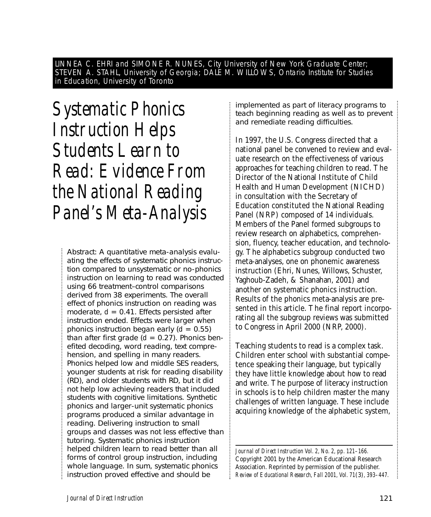LINNEA C. EHRI and SIMONE R. NUNES, City University of New York Graduate Center; STEVEN A. STAHL, University of Georgia; DALE M. WILLOWS, Ontario Institute for Studies in Education, University of Toronto

*Systematic Phonics Instruction Helps Students Learn to Read: Evidence From the National Reading Panel's Meta-Analysis*

Abstract: A quantitative meta-analysis evaluating the effects of systematic phonics instruction compared to unsystematic or no-phonics instruction on learning to read was conducted using 66 treatment–control comparisons derived from 38 experiments. The overall effect of phonics instruction on reading was moderate,  $d = 0.41$ . Effects persisted after instruction ended. Effects were larger when phonics instruction began early  $(d = 0.55)$ than after first grade  $(d = 0.27)$ . Phonics benefited decoding, word reading, text comprehension, and spelling in many readers. Phonics helped low and middle SES readers, younger students at risk for reading disability (RD), and older students with RD, but it did not help low achieving readers that included students with cognitive limitations. Synthetic phonics and larger-unit systematic phonics programs produced a similar advantage in reading. Delivering instruction to small groups and classes was not less effective than tutoring. Systematic phonics instruction helped children learn to read better than all forms of control group instruction, including whole language. In sum, systematic phonics instruction proved effective and should be

implemented as part of literacy programs to teach beginning reading as well as to prevent and remediate reading difficulties.

In 1997, the U.S. Congress directed that a national panel be convened to review and evaluate research on the effectiveness of various approaches for teaching children to read. The Director of the National Institute of Child Health and Human Development (NICHD) in consultation with the Secretary of Education constituted the National Reading Panel (NRP) composed of 14 individuals. Members of the Panel formed subgroups to review research on alphabetics, comprehension, fluency, teacher education, and technology. The alphabetics subgroup conducted two meta-analyses, one on phonemic awareness instruction (Ehri, Nunes, Willows, Schuster, Yaghoub-Zadeh, & Shanahan, 2001) and another on systematic phonics instruction. Results of the phonics meta-analysis are presented in this article. The final report incorporating all the subgroup reviews was submitted to Congress in April 2000 (NRP, 2000).

Teaching students to read is a complex task. Children enter school with substantial competence speaking their language, but typically they have little knowledge about how to read and write. The purpose of literacy instruction in schools is to help children master the many challenges of written language. These include acquiring knowledge of the alphabetic system,

*Journal of Direct Instruction Vol. 2, No. 2, pp. 121–166.* Copyright 2001 by the American Educational Research Association. Reprinted by permission of the publisher. *Review of Educational Research, Fall 2001, Vol. 71*(3)*, 393–447.*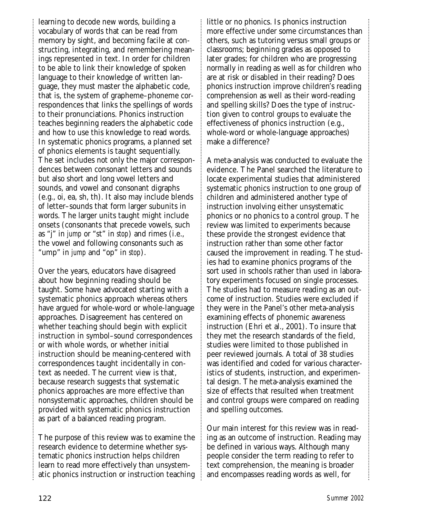learning to decode new words, building a vocabulary of words that can be read from memory by sight, and becoming facile at constructing, integrating, and remembering meanings represented in text. In order for children to be able to link their knowledge of spoken language to their knowledge of written language, they must master the alphabetic code, that is, the system of grapheme–phoneme correspondences that links the spellings of words to their pronunciations. Phonics instruction teaches beginning readers the alphabetic code and how to use this knowledge to read words. In systematic phonics programs, a planned set of phonics elements is taught sequentially. The set includes not only the major correspondences between consonant letters and sounds but also short and long vowel letters and sounds, and vowel and consonant digraphs (e.g., oi, ea, sh, th). It also may include blends of letter–sounds that form larger subunits in words. The larger units taught might include onsets (consonants that precede vowels, such as "j" in *jump* or "st" in *stop*) and rimes (i.e., the vowel and following consonants such as "ump" in *jump* and "op" in *stop*).

Over the years, educators have disagreed about how beginning reading should be taught. Some have advocated starting with a systematic phonics approach whereas others have argued for whole-word or whole-language approaches. Disagreement has centered on whether teaching should begin with explicit instruction in symbol–sound correspondences or with whole words, or whether initial instruction should be meaning-centered with correspondences taught incidentally in context as needed. The current view is that, because research suggests that systematic phonics approaches are more effective than nonsystematic approaches, children should be provided with systematic phonics instruction as part of a balanced reading program.

The purpose of this review was to examine the research evidence to determine whether systematic phonics instruction helps children learn to read more effectively than unsystematic phonics instruction or instruction teaching

little or no phonics. Is phonics instruction more effective under some circumstances than others, such as tutoring versus small groups or classrooms; beginning grades as opposed to later grades; for children who are progressing normally in reading as well as for children who are at risk or disabled in their reading? Does phonics instruction improve children's reading comprehension as well as their word-reading and spelling skills? Does the type of instruction given to control groups to evaluate the effectiveness of phonics instruction (e.g., whole-word or whole-language approaches) make a difference?

A meta-analysis was conducted to evaluate the evidence. The Panel searched the literature to locate experimental studies that administered systematic phonics instruction to one group of children and administered another type of instruction involving either unsystematic phonics or no phonics to a control group. The review was limited to experiments because these provide the strongest evidence that instruction rather than some other factor caused the improvement in reading. The studies had to examine phonics programs of the sort used in schools rather than used in laboratory experiments focused on single processes. The studies had to measure reading as an outcome of instruction. Studies were excluded if they were in the Panel's other meta-analysis examining effects of phonemic awareness instruction (Ehri et al., 2001). To insure that they met the research standards of the field, studies were limited to those published in peer reviewed journals. A total of 38 studies was identified and coded for various characteristics of students, instruction, and experimental design. The meta-analysis examined the size of effects that resulted when treatment and control groups were compared on reading and spelling outcomes.

Our main interest for this review was in reading as an outcome of instruction. Reading may be defined in various ways. Although many people consider the term reading to refer to text comprehension, the meaning is broader and encompasses reading words as well, for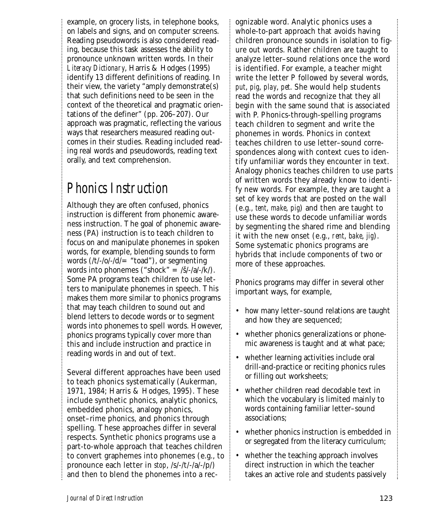example, on grocery lists, in telephone books, on labels and signs, and on computer screens. Reading pseudowords is also considered reading, because this task assesses the ability to pronounce unknown written words. In their *Literacy Dictionary*, Harris & Hodges (1995) identify 13 different definitions of reading. In their view, the variety "amply demonstrate(s) that such definitions need to be seen in the context of the theoretical and pragmatic orientations of the definer" (pp. 206–207). Our approach was pragmatic, reflecting the various ways that researchers measured reading outcomes in their studies. Reading included reading real words and pseudowords, reading text orally, and text comprehension.

## *Phonics Instruction*

Although they are often confused, phonics instruction is different from phonemic awareness instruction. The goal of phonemic awareness (PA) instruction is to teach children to focus on and manipulate phonemes in spoken words, for example, blending sounds to form words  $(\frac{t}{-\delta})$  -/d/= "toad"), or segmenting words into phonemes ("shock" =  $\frac{\dot{s}}{\dot{s}}$ /-/a/-/k/). Some PA programs teach children to use letters to manipulate phonemes in speech. This makes them more similar to phonics programs that may teach children to sound out and blend letters to decode words or to segment words into phonemes to spell words. However, phonics programs typically cover more than this and include instruction and practice in reading words in and out of text.

Several different approaches have been used to teach phonics systematically (Aukerman, 1971, 1984; Harris & Hodges, 1995). These include synthetic phonics, analytic phonics, embedded phonics, analogy phonics, onset–rime phonics, and phonics through spelling. These approaches differ in several respects. Synthetic phonics programs use a part-to-whole approach that teaches children to convert graphemes into phonemes (e.g., to pronounce each letter in *stop*, /s/-/t/-/a/-/p/) and then to blend the phonemes into a recognizable word. Analytic phonics uses a whole-to-part approach that avoids having children pronounce sounds in isolation to figure out words. Rather children are taught to analyze letter–sound relations once the word is identified. For example, a teacher might write the letter P followed by several words, *put*, *pig*, *play*, *pet*. She would help students read the words and recognize that they all begin with the same sound that is associated with P. Phonics-through-spelling programs teach children to segment and write the phonemes in words. Phonics in context teaches children to use letter–sound correspondences along with context cues to identify unfamiliar words they encounter in text. Analogy phonics teaches children to use parts of written words they already know to identify new words. For example, they are taught a set of key words that are posted on the wall (e.g., *tent*, *make*, *pig*) and then are taught to use these words to decode unfamiliar words by segmenting the shared rime and blending it with the new onset (e.g., *rent*, *bake*, *jig*). Some systematic phonics programs are hybrids that include components of two or more of these approaches.

Phonics programs may differ in several other important ways, for example,

- how many letter–sound relations are taught and how they are sequenced;
- whether phonics generalizations or phonemic awareness is taught and at what pace;
- whether learning activities include oral drill-and-practice or reciting phonics rules or filling out worksheets;
- whether children read decodable text in which the vocabulary is limited mainly to words containing familiar letter–sound associations;
- whether phonics instruction is embedded in or segregated from the literacy curriculum;
- whether the teaching approach involves direct instruction in which the teacher takes an active role and students passively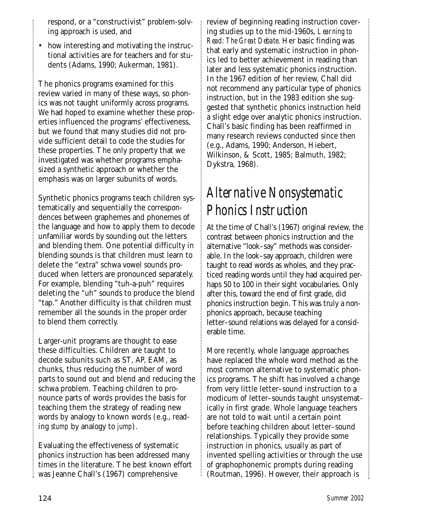respond, or a "constructivist" problem-solving approach is used, and

• how interesting and motivating the instructional activities are for teachers and for students (Adams, 1990; Aukerman, 1981).

The phonics programs examined for this review varied in many of these ways, so phonics was not taught uniformly across programs. We had hoped to examine whether these properties influenced the programs' effectiveness, but we found that many studies did not provide sufficient detail to code the studies for these properties. The only property that we investigated was whether programs emphasized a synthetic approach or whether the emphasis was on larger subunits of words.

Synthetic phonics programs teach children systematically and sequentially the correspondences between graphemes and phonemes of the language and how to apply them to decode unfamiliar words by sounding out the letters and blending them. One potential difficulty in blending sounds is that children must learn to delete the "extra" schwa vowel sounds produced when letters are pronounced separately. For example, blending "tuh-a-puh" requires deleting the "uh" sounds to produce the blend "tap." Another difficulty is that children must remember all the sounds in the proper order to blend them correctly.

Larger-unit programs are thought to ease these difficulties. Children are taught to decode subunits such as ST, AP, EAM, as chunks, thus reducing the number of word parts to sound out and blend and reducing the schwa problem. Teaching children to pronounce parts of words provides the basis for teaching them the strategy of reading new words by analogy to known words (e.g., reading *stump* by analogy to *jump*).

Evaluating the effectiveness of systematic phonics instruction has been addressed many times in the literature. The best known effort was Jeanne Chall's (1967) comprehensive

review of beginning reading instruction covering studies up to the mid-1960s, *Learning to Read: The Great Debate*. Her basic finding was that early and systematic instruction in phonics led to better achievement in reading than later and less systematic phonics instruction. In the 1967 edition of her review, Chall did not recommend any particular type of phonics instruction, but in the 1983 edition she suggested that synthetic phonics instruction held a slight edge over analytic phonics instruction. Chall's basic finding has been reaffirmed in many research reviews conducted since then (e.g., Adams, 1990; Anderson, Hiebert, Wilkinson, & Scott, 1985; Balmuth, 1982; Dykstra, 1968).

## *Alternative Nonsystematic Phonics Instruction*

At the time of Chall's (1967) original review, the contrast between phonics instruction and the alternative "look–say" methods was considerable. In the look–say approach, children were taught to read words as wholes, and they practiced reading words until they had acquired perhaps 50 to 100 in their sight vocabularies. Only after this, toward the end of first grade, did phonics instruction begin. This was truly a nonphonics approach, because teaching letter–sound relations was delayed for a considerable time.

More recently, whole language approaches have replaced the whole word method as the most common alternative to systematic phonics programs. The shift has involved a change from very little letter–sound instruction to a modicum of letter–sounds taught unsystematically in first grade. Whole language teachers are not told to wait until a certain point before teaching children about letter–sound relationships. Typically they provide some instruction in phonics, usually as part of invented spelling activities or through the use of graphophonemic prompts during reading (Routman, 1996). However, their approach is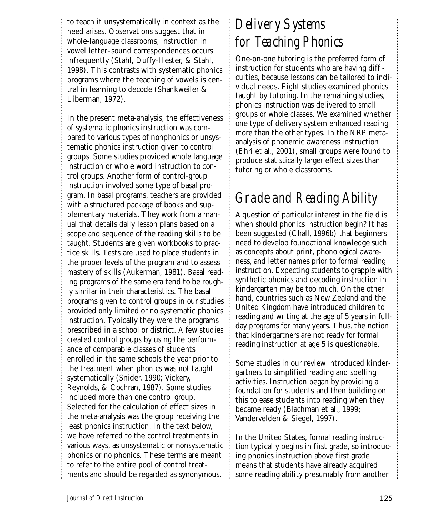to teach it unsystematically in context as the need arises. Observations suggest that in whole-language classrooms, instruction in vowel letter–sound correspondences occurs infrequently (Stahl, Duffy-Hester, & Stahl, 1998). This contrasts with systematic phonics programs where the teaching of vowels is central in learning to decode (Shankweiler & Liberman, 1972).

In the present meta-analysis, the effectiveness of systematic phonics instruction was compared to various types of nonphonics or unsystematic phonics instruction given to control groups. Some studies provided whole language instruction or whole word instruction to control groups. Another form of control-group instruction involved some type of basal program. In basal programs, teachers are provided with a structured package of books and supplementary materials. They work from a manual that details daily lesson plans based on a scope and sequence of the reading skills to be taught. Students are given workbooks to practice skills. Tests are used to place students in the proper levels of the program and to assess mastery of skills (Aukerman, 1981). Basal reading programs of the same era tend to be roughly similar in their characteristics. The basal programs given to control groups in our studies provided only limited or no systematic phonics instruction. Typically they were the programs prescribed in a school or district. A few studies created control groups by using the performance of comparable classes of students enrolled in the same schools the year prior to the treatment when phonics was not taught systematically (Snider, 1990; Vickery, Reynolds, & Cochran, 1987). Some studies included more than one control group. Selected for the calculation of effect sizes in the meta-analysis was the group receiving the least phonics instruction. In the text below, we have referred to the control treatments in various ways, as unsystematic or nonsystematic phonics or no phonics. These terms are meant to refer to the entire pool of control treatments and should be regarded as synonymous.

# *Delivery Systems for Teaching Phonics*

One-on-one tutoring is the preferred form of instruction for students who are having difficulties, because lessons can be tailored to individual needs. Eight studies examined phonics taught by tutoring. In the remaining studies, phonics instruction was delivered to small groups or whole classes. We examined whether one type of delivery system enhanced reading more than the other types. In the NRP metaanalysis of phonemic awareness instruction (Ehri et al., 2001), small groups were found to produce statistically larger effect sizes than tutoring or whole classrooms.

# *Grade and Reading Ability*

A question of particular interest in the field is when should phonics instruction begin? It has been suggested (Chall, 1996b) that beginners need to develop foundational knowledge such as concepts about print, phonological awareness, and letter names prior to formal reading instruction. Expecting students to grapple with synthetic phonics and decoding instruction in kindergarten may be too much. On the other hand, countries such as New Zealand and the United Kingdom have introduced children to reading and writing at the age of 5 years in fullday programs for many years. Thus, the notion that kindergartners are not ready for formal reading instruction at age 5 is questionable.

Some studies in our review introduced kindergartners to simplified reading and spelling activities. Instruction began by providing a foundation for students and then building on this to ease students into reading when they became ready (Blachman et al., 1999; Vandervelden & Siegel, 1997).

In the United States, formal reading instruction typically begins in first grade, so introducing phonics instruction above first grade means that students have already acquired some reading ability presumably from another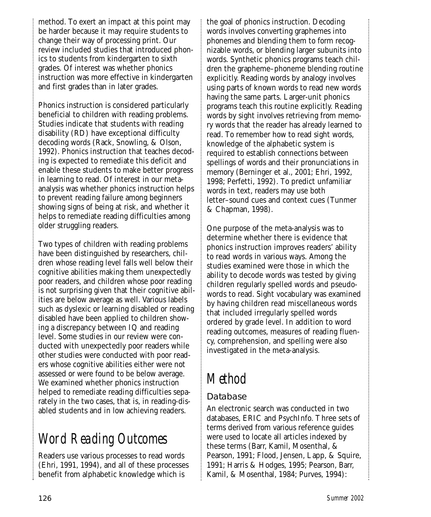method. To exert an impact at this point may be harder because it may require students to change their way of processing print. Our review included studies that introduced phonics to students from kindergarten to sixth grades. Of interest was whether phonics instruction was more effective in kindergarten and first grades than in later grades.

Phonics instruction is considered particularly beneficial to children with reading problems. Studies indicate that students with reading disability (RD) have exceptional difficulty decoding words (Rack, Snowling, & Olson, 1992). Phonics instruction that teaches decoding is expected to remediate this deficit and enable these students to make better progress in learning to read. Of interest in our metaanalysis was whether phonics instruction helps to prevent reading failure among beginners showing signs of being at risk, and whether it helps to remediate reading difficulties among older struggling readers.

Two types of children with reading problems have been distinguished by researchers, children whose reading level falls well below their cognitive abilities making them unexpectedly poor readers, and children whose poor reading is not surprising given that their cognitive abilities are below average as well. Various labels such as dyslexic or learning disabled or reading disabled have been applied to children showing a discrepancy between IQ and reading level. Some studies in our review were conducted with unexpectedly poor readers while other studies were conducted with poor readers whose cognitive abilities either were not assessed or were found to be below average. We examined whether phonics instruction helped to remediate reading difficulties separately in the two cases, that is, in reading-disabled students and in low achieving readers.

# *Word Reading Outcomes*

Readers use various processes to read words (Ehri, 1991, 1994), and all of these processes benefit from alphabetic knowledge which is

the goal of phonics instruction. Decoding words involves converting graphemes into phonemes and blending them to form recognizable words, or blending larger subunits into words. Synthetic phonics programs teach children the grapheme–phoneme blending routine explicitly. Reading words by analogy involves using parts of known words to read new words having the same parts. Larger-unit phonics programs teach this routine explicitly. Reading words by sight involves retrieving from memory words that the reader has already learned to read. To remember how to read sight words, knowledge of the alphabetic system is required to establish connections between spellings of words and their pronunciations in memory (Berninger et al., 2001; Ehri, 1992, 1998; Perfetti, 1992). To predict unfamiliar words in text, readers may use both letter–sound cues and context cues (Tunmer & Chapman, 1998).

One purpose of the meta-analysis was to determine whether there is evidence that phonics instruction improves readers' ability to read words in various ways. Among the studies examined were those in which the ability to decode words was tested by giving children regularly spelled words and pseudowords to read. Sight vocabulary was examined by having children read miscellaneous words that included irregularly spelled words ordered by grade level. In addition to word reading outcomes, measures of reading fluency, comprehension, and spelling were also investigated in the meta-analysis.

# *Method*

## Database

An electronic search was conducted in two databases, ERIC and PsychInfo. Three sets of terms derived from various reference guides were used to locate all articles indexed by these terms (Barr, Kamil, Mosenthal, & Pearson, 1991; Flood, Jensen, Lapp, & Squire, 1991; Harris & Hodges, 1995; Pearson, Barr, Kamil, & Mosenthal, 1984; Purves, 1994):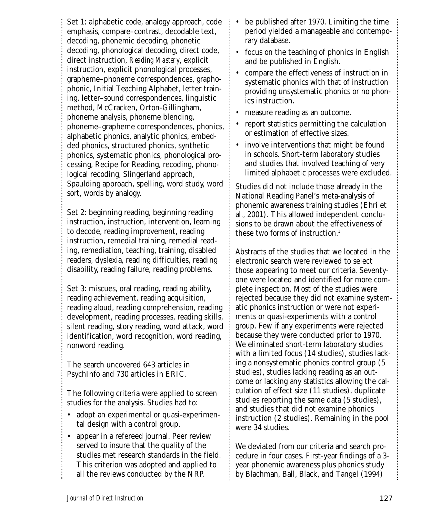Set 1: alphabetic code, analogy approach, code emphasis, compare–contrast, decodable text, decoding, phonemic decoding, phonetic decoding, phonological decoding, direct code, direct instruction, *Reading Mastery*, explicit instruction, explicit phonological processes, grapheme–phoneme correspondences, graphophonic, Initial Teaching Alphabet, letter training, letter–sound correspondences, linguistic method, McCracken, Orton-Gillingham, phoneme analysis, phoneme blending, phoneme–grapheme correspondences, phonics, alphabetic phonics, analytic phonics, embedded phonics, structured phonics, synthetic phonics, systematic phonics, phonological processing, Recipe for Reading, recoding, phonological recoding, Slingerland approach, Spaulding approach, spelling, word study, word sort, words by analogy.

Set 2: beginning reading, beginning reading instruction, instruction, intervention, learning to decode, reading improvement, reading instruction, remedial training, remedial reading, remediation, teaching, training, disabled readers, dyslexia, reading difficulties, reading disability, reading failure, reading problems.

Set 3: miscues, oral reading, reading ability, reading achievement, reading acquisition, reading aloud, reading comprehension, reading development, reading processes, reading skills, silent reading, story reading, word attack, word identification, word recognition, word reading, nonword reading.

The search uncovered 643 articles in PsychInfo and 730 articles in ERIC.

The following criteria were applied to screen studies for the analysis. Studies had to:

- adopt an experimental or quasi-experimental design with a control group.
- appear in a refereed journal. Peer review served to insure that the quality of the studies met research standards in the field. This criterion was adopted and applied to all the reviews conducted by the NRP.
- be published after 1970. Limiting the time period yielded a manageable and contemporary database.
- focus on the teaching of phonics in English and be published in English.
- compare the effectiveness of instruction in systematic phonics with that of instruction providing unsystematic phonics or no phonics instruction.
- measure reading as an outcome.
- report statistics permitting the calculation or estimation of effective sizes.
- involve interventions that might be found in schools. Short-term laboratory studies and studies that involved teaching of very limited alphabetic processes were excluded.

Studies did not include those already in the National Reading Panel's meta-analysis of phonemic awareness training studies (Ehri et al., 2001). This allowed independent conclusions to be drawn about the effectiveness of these two forms of instruction.<sup>1</sup>

Abstracts of the studies that we located in the electronic search were reviewed to select those appearing to meet our criteria. Seventyone were located and identified for more complete inspection. Most of the studies were rejected because they did not examine systematic phonics instruction or were not experiments or quasi-experiments with a control group. Few if any experiments were rejected because they were conducted prior to 1970. We eliminated short-term laboratory studies with a limited focus (14 studies), studies lacking a nonsystematic phonics control group (5 studies), studies lacking reading as an outcome or lacking any statistics allowing the calculation of effect size (11 studies), duplicate studies reporting the same data (5 studies), and studies that did not examine phonics instruction (2 studies). Remaining in the pool were 34 studies.

We deviated from our criteria and search procedure in four cases. First-year findings of a 3 year phonemic awareness plus phonics study by Blachman, Ball, Black, and Tangel (1994)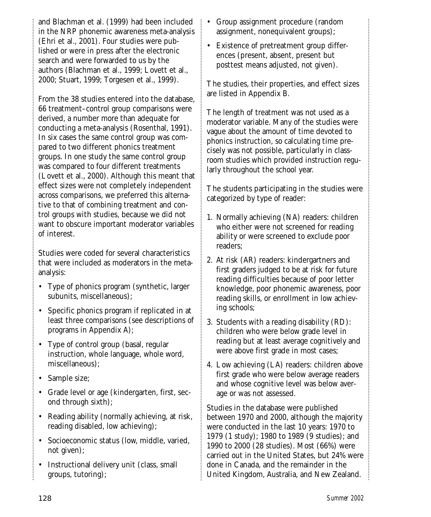and Blachman et al. (1999) had been included in the NRP phonemic awareness meta-analysis (Ehri et al., 2001). Four studies were published or were in press after the electronic search and were forwarded to us by the authors (Blachman et al., 1999; Lovett et al., 2000; Stuart, 1999; Torgesen et al., 1999).

From the 38 studies entered into the database, 66 treatment–control group comparisons were derived, a number more than adequate for conducting a meta-analysis (Rosenthal, 1991). In six cases the same control group was compared to two different phonics treatment groups. In one study the same control group was compared to four different treatments (Lovett et al., 2000). Although this meant that effect sizes were not completely independent across comparisons, we preferred this alternative to that of combining treatment and control groups with studies, because we did not want to obscure important moderator variables of interest.

Studies were coded for several characteristics that were included as moderators in the metaanalysis:

- Type of phonics program (synthetic, larger subunits, miscellaneous);
- Specific phonics program if replicated in at least three comparisons (see descriptions of programs in Appendix A);
- Type of control group (basal, regular instruction, whole language, whole word, miscellaneous);
- Sample size;
- Grade level or age (kindergarten, first, second through sixth);
- Reading ability (normally achieving, at risk, reading disabled, low achieving);
- Socioeconomic status (low, middle, varied, not given);
- Instructional delivery unit (class, small groups, tutoring);
- Group assignment procedure (random assignment, nonequivalent groups);
- Existence of pretreatment group differences (present, absent, present but posttest means adjusted, not given).

The studies, their properties, and effect sizes are listed in Appendix B.

The length of treatment was not used as a moderator variable. Many of the studies were vague about the amount of time devoted to phonics instruction, so calculating time precisely was not possible, particularly in classroom studies which provided instruction regularly throughout the school year.

The students participating in the studies were categorized by type of reader:

- 1. Normally achieving (NA) readers: children who either were not screened for reading ability or were screened to exclude poor readers;
- 2. At risk (AR) readers: kindergartners and first graders judged to be at risk for future reading difficulties because of poor letter knowledge, poor phonemic awareness, poor reading skills, or enrollment in low achieving schools;
- 3. Students with a reading disability (RD): children who were below grade level in reading but at least average cognitively and were above first grade in most cases;
- 4. Low achieving (LA) readers: children above first grade who were below average readers and whose cognitive level was below average or was not assessed.

Studies in the database were published between 1970 and 2000, although the majority were conducted in the last 10 years: 1970 to 1979 (1 study); 1980 to 1989 (9 studies); and 1990 to 2000 (28 studies). Most (66%) were carried out in the United States, but 24% were done in Canada, and the remainder in the United Kingdom, Australia, and New Zealand.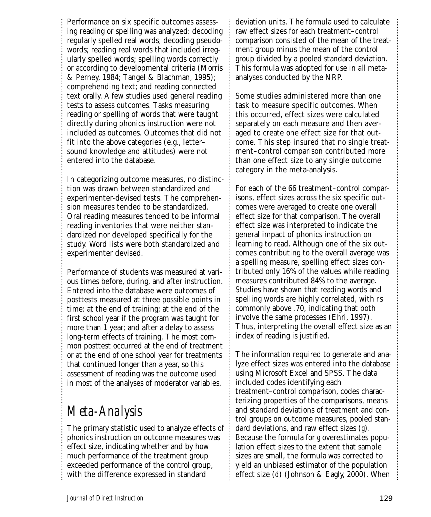Performance on six specific outcomes assessing reading or spelling was analyzed: decoding regularly spelled real words; decoding pseudowords; reading real words that included irregularly spelled words; spelling words correctly or according to developmental criteria (Morris & Perney, 1984; Tangel & Blachman, 1995); comprehending text; and reading connected text orally. A few studies used general reading tests to assess outcomes. Tasks measuring reading or spelling of words that were taught directly during phonics instruction were not included as outcomes. Outcomes that did not fit into the above categories (e.g., letter– sound knowledge and attitudes) were not entered into the database.

In categorizing outcome measures, no distinction was drawn between standardized and experimenter-devised tests. The comprehension measures tended to be standardized. Oral reading measures tended to be informal reading inventories that were neither standardized nor developed specifically for the study. Word lists were both standardized and experimenter devised.

Performance of students was measured at various times before, during, and after instruction. Entered into the database were outcomes of posttests measured at three possible points in time: at the end of training; at the end of the first school year if the program was taught for more than 1 year; and after a delay to assess long-term effects of training. The most common posttest occurred at the end of treatment or at the end of one school year for treatments that continued longer than a year, so this assessment of reading was the outcome used in most of the analyses of moderator variables.

# *Meta-Analysis*

The primary statistic used to analyze effects of phonics instruction on outcome measures was effect size, indicating whether and by how much performance of the treatment group exceeded performance of the control group, with the difference expressed in standard

deviation units. The formula used to calculate raw effect sizes for each treatment–control comparison consisted of the mean of the treatment group minus the mean of the control group divided by a pooled standard deviation. This formula was adopted for use in all metaanalyses conducted by the NRP.

Some studies administered more than one task to measure specific outcomes. When this occurred, effect sizes were calculated separately on each measure and then averaged to create one effect size for that outcome. This step insured that no single treatment–control comparison contributed more than one effect size to any single outcome category in the meta-analysis.

For each of the 66 treatment–control comparisons, effect sizes across the six specific outcomes were averaged to create one overall effect size for that comparison. The overall effect size was interpreted to indicate the general impact of phonics instruction on learning to read. Although one of the six outcomes contributing to the overall average was a spelling measure, spelling effect sizes contributed only 16% of the values while reading measures contributed 84% to the average. Studies have shown that reading words and spelling words are highly correlated, with *r*s commonly above .70, indicating that both involve the same processes (Ehri, 1997). Thus, interpreting the overall effect size as an index of reading is justified.

The information required to generate and analyze effect sizes was entered into the database using Microsoft Excel and SPSS. The data included codes identifying each treatment–control comparison, codes characterizing properties of the comparisons, means and standard deviations of treatment and control groups on outcome measures, pooled standard deviations, and raw effect sizes (*g*). Because the formula for *g* overestimates population effect sizes to the extent that sample sizes are small, the formula was corrected to yield an unbiased estimator of the population effect size (*d*) (Johnson & Eagly, 2000). When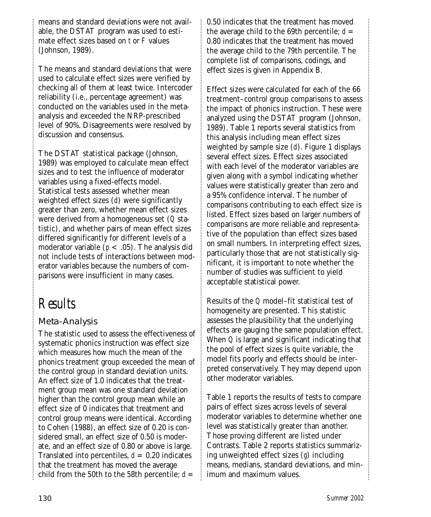means and standard deviations were not available, the DSTAT program was used to estimate effect sizes based on *t* or *F* values (Johnson, 1989).

The means and standard deviations that were used to calculate effect sizes were verified by checking all of them at least twice. Intercoder reliability (i.e., percentage agreement) was conducted on the variables used in the metaanalysis and exceeded the NRP-prescribed level of 90%. Disagreements were resolved by discussion and consensus.

The DSTAT statistical package (Johnson, 1989) was employed to calculate mean effect sizes and to test the influence of moderator variables using a fixed-effects model. Statistical tests assessed whether mean weighted effect sizes (*d*) were significantly greater than zero, whether mean effect sizes were derived from a homogeneous set (*Q* statistic), and whether pairs of mean effect sizes differed significantly for different levels of a moderator variable (*p* < .05). The analysis did not include tests of interactions between moderator variables because the numbers of comparisons were insufficient in many cases.

## *Results*

### Meta-Analysis

The statistic used to assess the effectiveness of systematic phonics instruction was effect size which measures how much the mean of the phonics treatment group exceeded the mean of the control group in standard deviation units. An effect size of 1.0 indicates that the treatment group mean was one standard deviation higher than the control group mean while an effect size of 0 indicates that treatment and control group means were identical. According to Cohen (1988), an effect size of 0.20 is considered small, an effect size of 0.50 is moderate, and an effect size of 0.80 or above is large. Translated into percentiles,  $d = 0.20$  indicates that the treatment has moved the average child from the 50th to the 58th percentile;  $d=$ 

0.50 indicates that the treatment has moved the average child to the 69th percentile;  $d =$ 0.80 indicates that the treatment has moved the average child to the 79th percentile. The complete list of comparisons, codings, and effect sizes is given in Appendix B.

Effect sizes were calculated for each of the 66 treatment–control group comparisons to assess the impact of phonics instruction. These were analyzed using the DSTAT program (Johnson, 1989). Table 1 reports several statistics from this analysis including mean effect sizes weighted by sample size (*d*). Figure 1 displays several effect sizes. Effect sizes associated with each level of the moderator variables are given along with a symbol indicating whether values were statistically greater than zero and a 95% confidence interval. The number of comparisons contributing to each effect size is listed. Effect sizes based on larger numbers of comparisons are more reliable and representative of the population than effect sizes based on small numbers. In interpreting effect sizes, particularly those that are not statistically significant, it is important to note whether the number of studies was sufficient to yield acceptable statistical power.

Results of the *Q* model–fit statistical test of homogeneity are presented. This statistic assesses the plausibility that the underlying effects are gauging the same population effect. When *Q* is large and significant indicating that the pool of effect sizes is quite variable, the model fits poorly and effects should be interpreted conservatively. They may depend upon other moderator variables.

Table 1 reports the results of tests to compare pairs of effect sizes across levels of several moderator variables to determine whether one level was statistically greater than another. Those proving different are listed under Contrasts. Table 2 reports statistics summarizing unweighted effect sizes (*g*) including means, medians, standard deviations, and minimum and maximum values.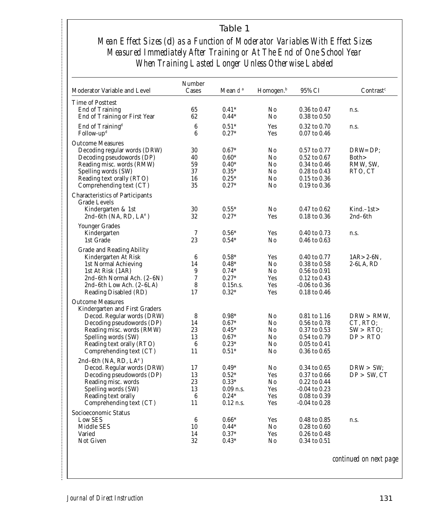### Table 1

*Mean Effect Sizes (*d*) as a Function of Moderator Variables With Effect Sizes Measured Immediately After Training or At The End of One School Year When Training Lasted Longer Unless Otherwise Labeled*

| Time of Posttest<br><b>End of Training</b><br>End of Training or First Year<br>End of Training <sup>d</sup><br>$Follow-upd$<br><b>Outcome Measures</b><br>Decoding regular words (DRW)<br>Decoding pseudowords (DP)<br>Reading misc. words (RMW)<br>Spelling words (SW)<br>Reading text orally (RTO)<br>Comprehending text (CT)<br><b>Characteristics of Participants</b><br><b>Grade Levels</b><br>Kindergarten & 1st<br>2nd–6th (NA, RD, $LAe$ )<br><b>Younger Grades</b><br>Kindergarten<br>1st Grade<br><b>Grade and Reading Ability</b><br>Kindergarten At Risk<br>1st Normal Achieving<br>1st At Risk (1AR)<br>2nd-6th Normal Ach. (2-6N)<br>2nd–6th Low Ach. (2–6LA)<br>Reading Disabled (RD)<br><b>Outcome Measures</b> | 65<br>62<br>6<br>6<br>30<br>40<br>59<br>37<br>16<br>35 | $0.41*$<br>$0.44*$<br>$0.51*$<br>$0.27*$<br>$0.67*$<br>$0.60*$<br>$0.40*$ | No<br>No<br><b>Yes</b><br>Yes<br>$\rm No$<br>$\rm No$ | 0.36 to 0.47<br>0.38 to 0.50<br>0.32 to 0.70<br>0.07 to 0.46<br>0.57 to 0.77 | n.s.<br>n.s.     |
|---------------------------------------------------------------------------------------------------------------------------------------------------------------------------------------------------------------------------------------------------------------------------------------------------------------------------------------------------------------------------------------------------------------------------------------------------------------------------------------------------------------------------------------------------------------------------------------------------------------------------------------------------------------------------------------------------------------------------------|--------------------------------------------------------|---------------------------------------------------------------------------|-------------------------------------------------------|------------------------------------------------------------------------------|------------------|
|                                                                                                                                                                                                                                                                                                                                                                                                                                                                                                                                                                                                                                                                                                                                 |                                                        |                                                                           |                                                       |                                                                              |                  |
|                                                                                                                                                                                                                                                                                                                                                                                                                                                                                                                                                                                                                                                                                                                                 |                                                        |                                                                           |                                                       |                                                                              |                  |
|                                                                                                                                                                                                                                                                                                                                                                                                                                                                                                                                                                                                                                                                                                                                 |                                                        |                                                                           |                                                       |                                                                              |                  |
|                                                                                                                                                                                                                                                                                                                                                                                                                                                                                                                                                                                                                                                                                                                                 |                                                        |                                                                           |                                                       |                                                                              |                  |
|                                                                                                                                                                                                                                                                                                                                                                                                                                                                                                                                                                                                                                                                                                                                 |                                                        |                                                                           |                                                       |                                                                              |                  |
|                                                                                                                                                                                                                                                                                                                                                                                                                                                                                                                                                                                                                                                                                                                                 |                                                        |                                                                           |                                                       |                                                                              |                  |
|                                                                                                                                                                                                                                                                                                                                                                                                                                                                                                                                                                                                                                                                                                                                 |                                                        |                                                                           |                                                       |                                                                              | $DRW = DP$       |
|                                                                                                                                                                                                                                                                                                                                                                                                                                                                                                                                                                                                                                                                                                                                 |                                                        |                                                                           |                                                       | 0.52 to 0.67                                                                 | Both>            |
|                                                                                                                                                                                                                                                                                                                                                                                                                                                                                                                                                                                                                                                                                                                                 |                                                        |                                                                           | No                                                    | 0.34 to 0.46                                                                 | RMW, SW,         |
|                                                                                                                                                                                                                                                                                                                                                                                                                                                                                                                                                                                                                                                                                                                                 |                                                        | $0.35*$                                                                   | No                                                    | 0.28 to 0.43                                                                 | RTO, CT          |
|                                                                                                                                                                                                                                                                                                                                                                                                                                                                                                                                                                                                                                                                                                                                 |                                                        | $0.25*$                                                                   | $\rm No$                                              | 0.15 to 0.36                                                                 |                  |
|                                                                                                                                                                                                                                                                                                                                                                                                                                                                                                                                                                                                                                                                                                                                 |                                                        | $0.27*$                                                                   | $\rm No$                                              | 0.19 to 0.36                                                                 |                  |
|                                                                                                                                                                                                                                                                                                                                                                                                                                                                                                                                                                                                                                                                                                                                 |                                                        |                                                                           |                                                       |                                                                              |                  |
|                                                                                                                                                                                                                                                                                                                                                                                                                                                                                                                                                                                                                                                                                                                                 | 30                                                     | $0.55*$                                                                   | No                                                    | 0.47 to 0.62                                                                 | $Kind.-1st>$     |
|                                                                                                                                                                                                                                                                                                                                                                                                                                                                                                                                                                                                                                                                                                                                 | 32                                                     | $0.27*$                                                                   | Yes                                                   | 0.18 to 0.36                                                                 | 2nd-6th          |
|                                                                                                                                                                                                                                                                                                                                                                                                                                                                                                                                                                                                                                                                                                                                 |                                                        |                                                                           |                                                       |                                                                              |                  |
|                                                                                                                                                                                                                                                                                                                                                                                                                                                                                                                                                                                                                                                                                                                                 | $\boldsymbol{7}$                                       | $0.56*$                                                                   | Yes                                                   | 0.40 to 0.73                                                                 | n.s.             |
|                                                                                                                                                                                                                                                                                                                                                                                                                                                                                                                                                                                                                                                                                                                                 | 23                                                     | $0.54*$                                                                   | $\rm No$                                              | 0.46 to 0.63                                                                 |                  |
|                                                                                                                                                                                                                                                                                                                                                                                                                                                                                                                                                                                                                                                                                                                                 |                                                        |                                                                           |                                                       |                                                                              |                  |
|                                                                                                                                                                                                                                                                                                                                                                                                                                                                                                                                                                                                                                                                                                                                 | 6                                                      | $0.58*$                                                                   | Yes                                                   | 0.40 to 0.77                                                                 | $1AR > 2-6N$ .   |
|                                                                                                                                                                                                                                                                                                                                                                                                                                                                                                                                                                                                                                                                                                                                 | 14                                                     | $0.48*$                                                                   | No                                                    | 0.38 to 0.58                                                                 | $2-6LA$ , RD     |
|                                                                                                                                                                                                                                                                                                                                                                                                                                                                                                                                                                                                                                                                                                                                 | 9                                                      | $0.74*$                                                                   | No                                                    | 0.56 to 0.91                                                                 |                  |
|                                                                                                                                                                                                                                                                                                                                                                                                                                                                                                                                                                                                                                                                                                                                 | $\boldsymbol{7}$                                       | $0.27*$                                                                   | Yes                                                   | 0.12 to 0.43                                                                 |                  |
|                                                                                                                                                                                                                                                                                                                                                                                                                                                                                                                                                                                                                                                                                                                                 | 8                                                      | 0.15n.s.                                                                  | Yes                                                   | $-0.06$ to $0.36$                                                            |                  |
|                                                                                                                                                                                                                                                                                                                                                                                                                                                                                                                                                                                                                                                                                                                                 | 17                                                     | $0.32*$                                                                   | Yes                                                   | 0.18 to 0.46                                                                 |                  |
|                                                                                                                                                                                                                                                                                                                                                                                                                                                                                                                                                                                                                                                                                                                                 |                                                        |                                                                           |                                                       |                                                                              |                  |
| Kindergarten and First Graders                                                                                                                                                                                                                                                                                                                                                                                                                                                                                                                                                                                                                                                                                                  |                                                        |                                                                           |                                                       |                                                                              |                  |
| Decod. Regular words (DRW)                                                                                                                                                                                                                                                                                                                                                                                                                                                                                                                                                                                                                                                                                                      | 8                                                      | $0.98*$                                                                   | $\rm No$                                              | 0.81 to 1.16                                                                 | $DRW > RMW$ ,    |
| Decoding pseudowords (DP)                                                                                                                                                                                                                                                                                                                                                                                                                                                                                                                                                                                                                                                                                                       | 14                                                     | $0.67*$                                                                   | No                                                    | 0.56 to 0.78                                                                 | CT, RTO;         |
| Reading misc. words (RMW)                                                                                                                                                                                                                                                                                                                                                                                                                                                                                                                                                                                                                                                                                                       | 23                                                     | $0.45*$                                                                   | No                                                    | 0.37 to 0.53                                                                 | SW > RTO         |
| Spelling words (SW)                                                                                                                                                                                                                                                                                                                                                                                                                                                                                                                                                                                                                                                                                                             | 13                                                     | $0.67*$                                                                   | $\rm No$                                              | 0.54 to 0.79                                                                 | DP > RTO         |
| Reading text orally (RTO)                                                                                                                                                                                                                                                                                                                                                                                                                                                                                                                                                                                                                                                                                                       | 6                                                      | $0.23*$                                                                   | No                                                    | 0.05 to 0.41                                                                 |                  |
| Comprehending text (CT)                                                                                                                                                                                                                                                                                                                                                                                                                                                                                                                                                                                                                                                                                                         | 11                                                     | $0.51*$                                                                   | $\rm No$                                              | 0.36 to 0.65                                                                 |                  |
| 2nd-6th (NA, RD, $LAe$ )                                                                                                                                                                                                                                                                                                                                                                                                                                                                                                                                                                                                                                                                                                        |                                                        |                                                                           |                                                       |                                                                              |                  |
| Decod. Regular words (DRW)                                                                                                                                                                                                                                                                                                                                                                                                                                                                                                                                                                                                                                                                                                      | 17                                                     | $0.49*$                                                                   | No                                                    | 0.34 to 0.65                                                                 | DRW > SW;        |
| Decoding pseudowords (DP)                                                                                                                                                                                                                                                                                                                                                                                                                                                                                                                                                                                                                                                                                                       | 13                                                     | $0.52*$                                                                   | Yes                                                   | 0.37 to 0.66                                                                 | $DP > SW$ , $CT$ |
| Reading misc. words                                                                                                                                                                                                                                                                                                                                                                                                                                                                                                                                                                                                                                                                                                             | 23                                                     | $0.33*$                                                                   | No                                                    | 0.22 to 0.44                                                                 |                  |
| Spelling words (SW)                                                                                                                                                                                                                                                                                                                                                                                                                                                                                                                                                                                                                                                                                                             | 13                                                     | $0.09$ n.s.                                                               | Yes                                                   | $-0.04$ to $0.23$                                                            |                  |
| Reading text orally                                                                                                                                                                                                                                                                                                                                                                                                                                                                                                                                                                                                                                                                                                             | 6                                                      | $0.24*$                                                                   | Yes                                                   | 0.08 to 0.39                                                                 |                  |
| Comprehending text (CT)                                                                                                                                                                                                                                                                                                                                                                                                                                                                                                                                                                                                                                                                                                         | 11                                                     | $0.12$ n.s.                                                               | Yes                                                   | $-0.04$ to $0.28$                                                            |                  |
| Socioeconomic Status                                                                                                                                                                                                                                                                                                                                                                                                                                                                                                                                                                                                                                                                                                            |                                                        |                                                                           |                                                       |                                                                              |                  |
| <b>Low SES</b>                                                                                                                                                                                                                                                                                                                                                                                                                                                                                                                                                                                                                                                                                                                  | $6\phantom{.}6$                                        | $0.66*$                                                                   | Yes                                                   | 0.48 to 0.85                                                                 | n.s.             |
| Middle SES                                                                                                                                                                                                                                                                                                                                                                                                                                                                                                                                                                                                                                                                                                                      | 10                                                     | $0.44*$                                                                   | No                                                    | 0.28 to 0.60                                                                 |                  |
| Varied                                                                                                                                                                                                                                                                                                                                                                                                                                                                                                                                                                                                                                                                                                                          | 14                                                     | $0.37*$                                                                   | Yes                                                   | 0.26 to 0.48                                                                 |                  |
| Not Given                                                                                                                                                                                                                                                                                                                                                                                                                                                                                                                                                                                                                                                                                                                       | 32                                                     | $0.43*$                                                                   | $\rm No$                                              | 0.34 to 0.51                                                                 |                  |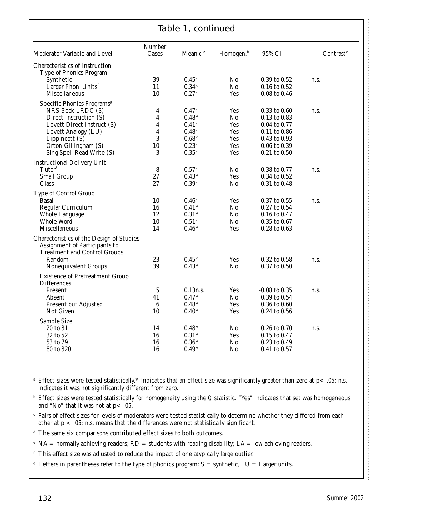| Table 1, continued                                                                                               |                 |            |                       |                   |                       |  |  |  |
|------------------------------------------------------------------------------------------------------------------|-----------------|------------|-----------------------|-------------------|-----------------------|--|--|--|
| Moderator Variable and Level                                                                                     | Number<br>Cases | Mean $d^a$ | Homogen. <sup>b</sup> | 95% CI            | Contrast <sup>c</sup> |  |  |  |
| <b>Characteristics of Instruction</b>                                                                            |                 |            |                       |                   |                       |  |  |  |
| Type of Phonics Program                                                                                          |                 |            |                       |                   |                       |  |  |  |
| Synthetic                                                                                                        | 39              | $0.45*$    | $\rm No$              | 0.39 to 0.52      | n.s.                  |  |  |  |
| Larger Phon. Units <sup>f</sup>                                                                                  | 11              | $0.34*$    | No                    | 0.16 to 0.52      |                       |  |  |  |
| Miscellaneous                                                                                                    | 10              | $0.27*$    | Yes                   | $0.08$ to $0.46$  |                       |  |  |  |
| Specific Phonics Programs <sup>8</sup>                                                                           |                 |            |                       |                   |                       |  |  |  |
| NRS-Beck LRDC (S)                                                                                                | 4               | $0.47*$    | Yes                   | 0.33 to 0.60      | n.s.                  |  |  |  |
| Direct Instruction (S)                                                                                           | 4               | $0.48*$    | $\rm No$              | 0.13 to 0.83      |                       |  |  |  |
| Lovett Direct Instruct (S)                                                                                       | 4               | $0.41*$    | <b>Yes</b>            | 0.04 to 0.77      |                       |  |  |  |
| Lovett Analogy (LU)                                                                                              | 4               | $0.48*$    | <b>Yes</b>            | 0.11 to 0.86      |                       |  |  |  |
| Lippincott $(S)$                                                                                                 | 3               | $0.68*$    | Yes                   | 0.43 to 0.93      |                       |  |  |  |
| Orton-Gillingham (S)                                                                                             | 10              | $0.23*$    | Yes                   | 0.06 to 0.39      |                       |  |  |  |
| Sing Spell Read Write (S)                                                                                        | 3               | $0.35*$    | Yes                   | 0.21 to 0.50      |                       |  |  |  |
| <b>Instructional Delivery Unit</b>                                                                               |                 |            |                       |                   |                       |  |  |  |
| Tutor                                                                                                            | 8               | $0.57*$    | $\rm No$              | 0.38 to 0.77      | n.s.                  |  |  |  |
| <b>Small Group</b>                                                                                               | 27              | $0.43*$    | Yes                   | 0.34 to 0.52      |                       |  |  |  |
| Class                                                                                                            | 27              | $0.39*$    | $\rm No$              | 0.31 to 0.48      |                       |  |  |  |
|                                                                                                                  |                 |            |                       |                   |                       |  |  |  |
| <b>Type of Control Group</b>                                                                                     |                 |            |                       |                   |                       |  |  |  |
| Basal                                                                                                            | 10              | $0.46*$    | <b>Yes</b>            | 0.37 to 0.55      | n.s.                  |  |  |  |
| Regular Curriculum                                                                                               | 16              | $0.41*$    | No                    | 0.27 to 0.54      |                       |  |  |  |
| <b>Whole Language</b>                                                                                            | 12              | $0.31*$    | No                    | 0.16 to 0.47      |                       |  |  |  |
| Whole Word                                                                                                       | 10              | $0.51*$    | No                    | 0.35 to 0.67      |                       |  |  |  |
| Miscellaneous                                                                                                    | 14              | $0.46*$    | Yes                   | 0.28 to 0.63      |                       |  |  |  |
| Characteristics of the Design of Studies<br>Assignment of Participants to<br><b>Treatment and Control Groups</b> |                 |            |                       |                   |                       |  |  |  |
| Random                                                                                                           | 23              | $0.45*$    | <b>Yes</b>            | $0.32$ to $0.58$  | n.s.                  |  |  |  |
| <b>Nonequivalent Groups</b>                                                                                      | 39              | $0.43*$    | $\rm No$              | $0.37$ to $0.50$  |                       |  |  |  |
| <b>Existence of Pretreatment Group</b><br><b>Differences</b>                                                     |                 |            |                       |                   |                       |  |  |  |
| Present                                                                                                          | 5               | 0.13n.s.   | Yes                   | $-0.08$ to $0.35$ | n.s.                  |  |  |  |
| Absent                                                                                                           | 41              | $0.47*$    | $\rm No$              | 0.39 to 0.54      |                       |  |  |  |
| Present but Adjusted                                                                                             | 6               | $0.48*$    | Yes                   | 0.36 to 0.60      |                       |  |  |  |
| Not Given                                                                                                        | 10              | $0.40*$    | Yes                   | 0.24 to 0.56      |                       |  |  |  |
| Sample Size                                                                                                      |                 |            |                       |                   |                       |  |  |  |
| 20 to 31                                                                                                         | 14              | $0.48*$    | $\rm No$              | $0.26$ to $0.70$  | n.s.                  |  |  |  |
| 32 to 52                                                                                                         | 16              | $0.31*$    | <b>Yes</b>            | $0.15$ to $0.47$  |                       |  |  |  |
| 53 to 79                                                                                                         | 16              | $0.36*$    | $\rm No$              | 0.23 to 0.49      |                       |  |  |  |
| 80 to 320                                                                                                        | 16              | $0.49*$    | $\rm No$              | 0.41 to 0.57      |                       |  |  |  |

<sup>a</sup> Effect sizes were tested statistically.\* Indicates that an effect size was significantly greater than zero at p< .05; n.s. indicates it was not significantly different from zero.

<sup>b</sup> Effect sizes were tested statistically for homogeneity using the *Q* statistic. "Yes" indicates that set was homogeneous and "No" that it was not at p< .05.

<sup>c</sup> Pairs of effect sizes for levels of moderators were tested statistically to determine whether they differed from each other at p < .05; n.s. means that the differences were not statistically significant.

<sup>d</sup> The same six comparisons contributed effect sizes to both outcomes.

 $e$  NA = normally achieving readers; RD = students with reading disability; LA = low achieving readers.

<sup>f</sup> This effect size was adjusted to reduce the impact of one atypically large outlier.

<sup>g</sup> Letters in parentheses refer to the type of phonics program:  $S =$  synthetic,  $LU =$  Larger units.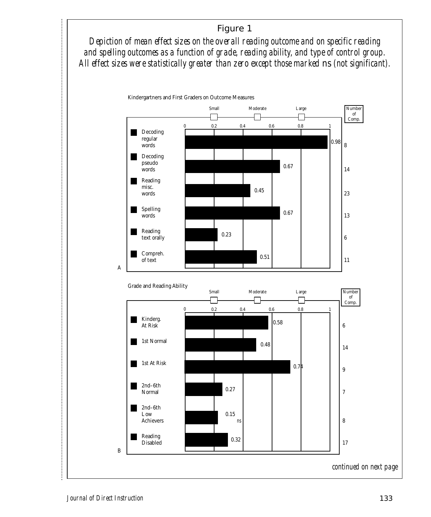### Figure 1

*Depiction of mean effect sizes on the overall reading outcome and on specific reading and spelling outcomes as a function of grade, reading ability, and type of control group. All effect sizes were statistically greater than zero except those marked* ns *(not significant).* 

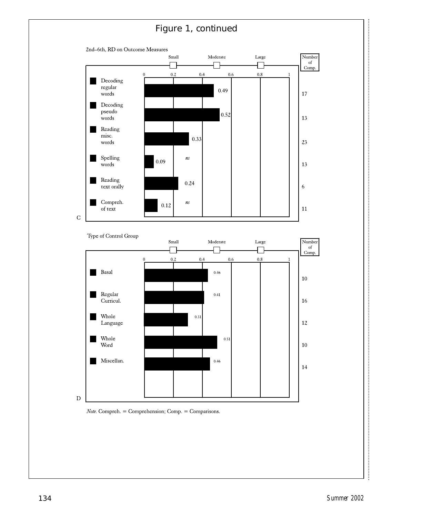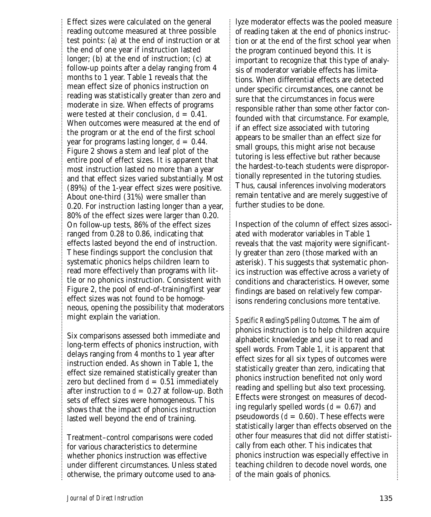Effect sizes were calculated on the general reading outcome measured at three possible test points: (a) at the end of instruction or at the end of one year if instruction lasted longer; (b) at the end of instruction; (c) at follow-up points after a delay ranging from 4 months to 1 year. Table 1 reveals that the mean effect size of phonics instruction on reading was statistically greater than zero and moderate in size. When effects of programs were tested at their conclusion,  $d = 0.41$ . When outcomes were measured at the end of the program or at the end of the first school year for programs lasting longer,  $d = 0.44$ . Figure 2 shows a stem and leaf plot of the entire pool of effect sizes. It is apparent that most instruction lasted no more than a year and that effect sizes varied substantially. Most (89%) of the 1-year effect sizes were positive. About one-third (31%) were smaller than 0.20. For instruction lasting longer than a year, 80% of the effect sizes were larger than 0.20. On follow-up tests, 86% of the effect sizes ranged from 0.28 to 0.86, indicating that effects lasted beyond the end of instruction. These findings support the conclusion that systematic phonics helps children learn to read more effectively than programs with little or no phonics instruction. Consistent with Figure 2, the pool of end-of-training/first year effect sizes was not found to be homogeneous, opening the possibility that moderators might explain the variation.

Six comparisons assessed both immediate and long-term effects of phonics instruction, with delays ranging from 4 months to 1 year after instruction ended. As shown in Table 1, the effect size remained statistically greater than zero but declined from  $d = 0.51$  immediately after instruction to  $d = 0.27$  at follow-up. Both sets of effect sizes were homogeneous. This shows that the impact of phonics instruction lasted well beyond the end of training.

Treatment–control comparisons were coded for various characteristics to determine whether phonics instruction was effective under different circumstances. Unless stated otherwise, the primary outcome used to ana-

lyze moderator effects was the pooled measure of reading taken at the end of phonics instruction or at the end of the first school year when the program continued beyond this. It is important to recognize that this type of analysis of moderator variable effects has limitations. When differential effects are detected under specific circumstances, one cannot be sure that the circumstances in focus were responsible rather than some other factor confounded with that circumstance. For example, if an effect size associated with tutoring appears to be smaller than an effect size for small groups, this might arise not because tutoring is less effective but rather because the hardest-to-teach students were disproportionally represented in the tutoring studies. Thus, causal inferences involving moderators remain tentative and are merely suggestive of further studies to be done.

Inspection of the column of effect sizes associated with moderator variables in Table 1 reveals that the vast majority were significantly greater than zero (those marked with an asterisk). This suggests that systematic phonics instruction was effective across a variety of conditions and characteristics. However, some findings are based on relatively few comparisons rendering conclusions more tentative.

*Specific Reading/Spelling Outcomes.* The aim of phonics instruction is to help children acquire alphabetic knowledge and use it to read and spell words. From Table 1, it is apparent that effect sizes for all six types of outcomes were statistically greater than zero, indicating that phonics instruction benefited not only word reading and spelling but also text processing. Effects were strongest on measures of decoding regularly spelled words (*d* = 0.67) and pseudowords  $(d = 0.60)$ . These effects were statistically larger than effects observed on the other four measures that did not differ statistically from each other. This indicates that phonics instruction was especially effective in teaching children to decode novel words, one of the main goals of phonics.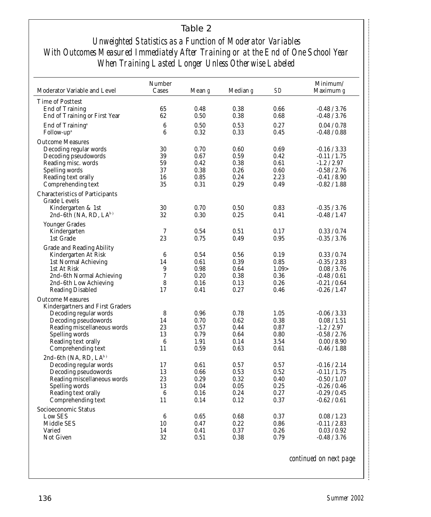## Table 2

*Unweighted Statistics as a Function of Moderator Variables With Outcomes Measured Immediately After Training or at the End of One School Year When Training Lasted Longer Unless Otherwise Labeled*

| Moderator Variable and Level           | Number<br>Cases      | Mean $g$     | Median $g$   | SD           | Minimum/<br>Maximum $g$ |
|----------------------------------------|----------------------|--------------|--------------|--------------|-------------------------|
| <b>Time of Posttest</b>                |                      |              |              |              |                         |
| <b>End of Training</b>                 | 65                   | 0.48         | 0.38         | 0.66         | $-0.48 / 3.76$          |
| End of Training or First Year          | 62                   | 0.50         | 0.38         | 0.68         | $-0.48/3.76$            |
|                                        |                      |              |              |              |                         |
| End of Training <sup>a</sup>           | $6\phantom{1}6$<br>6 | 0.50<br>0.32 | 0.53         | 0.27<br>0.45 | 0.04 / 0.78             |
| $Follow-upa$                           |                      |              | 0.33         |              | $-0.48/0.88$            |
| <b>Outcome Measures</b>                |                      |              |              |              |                         |
| Decoding regular words                 | 30                   | 0.70         | 0.60         | 0.69         | $-0.16 / 3.33$          |
| Decoding pseudowords                   | 39                   | 0.67         | 0.59         | 0.42         | $-0.11 / 1.75$          |
| Reading misc. words                    | 59                   | 0.42         | 0.38         | 0.61         | $-1.2/2.97$             |
| Spelling words                         | 37                   | 0.38         | 0.26         | 0.60         | $-0.58 / 2.76$          |
| Reading text orally                    | 16<br>35             | 0.85<br>0.31 | 0.24<br>0.29 | 2.23<br>0.49 | $-0.41/8.90$            |
| Comprehending text                     |                      |              |              |              | $-0.82 / 1.88$          |
| <b>Characteristics of Participants</b> |                      |              |              |              |                         |
| Grade Levels                           |                      |              |              |              |                         |
| Kindergarten & 1st                     | 30                   | 0.70         | 0.50         | 0.83         | $-0.35/3.76$            |
| 2nd-6th (NA, RD, $LAb$ )               | 32                   | 0.30         | 0.25         | 0.41         | $-0.48/1.47$            |
| <b>Younger Grades</b>                  |                      |              |              |              |                         |
| Kindergarten                           | $\overline{7}$       | 0.54         | 0.51         | 0.17         | 0.33 / 0.74             |
| 1st Grade                              | 23                   | 0.75         | 0.49         | 0.95         | $-0.35 / 3.76$          |
| <b>Grade and Reading Ability</b>       |                      |              |              |              |                         |
| Kindergarten At Risk                   | $6\phantom{.}6$      | 0.54         | 0.56         | 0.19         | 0.33 / 0.74             |
| 1st Normal Achieving                   | 14                   | 0.61         | 0.39         | 0.85         | $-0.35/2.83$            |
| 1st At Risk                            | 9                    | 0.98         | 0.64         | 1.09>        | 0.08 / 3.76             |
| 2nd-6th Normal Achieving               | $\overline{7}$       | 0.20         | 0.38         | 0.36         | $-0.48/0.61$            |
| 2nd-6th Low Achieving                  | 8                    | 0.16         | 0.13         | 0.26         | $-0.21 / 0.64$          |
| <b>Reading Disabled</b>                | 17                   | 0.41         | 0.27         | 0.46         | $-0.26/1.47$            |
| <b>Outcome Measures</b>                |                      |              |              |              |                         |
| Kindergartners and First Graders       |                      |              |              |              |                         |
| Decoding regular words                 | 8                    | 0.96         | 0.78         | 1.05         | $-0.06 / 3.33$          |
| Decoding pseudowords                   | 14                   | 0.70         | 0.62         | 0.38         | 0.08 / 1.51             |
| Reading miscellaneous words            | 23                   | 0.57         | 0.44         | 0.87         | $-1.2/2.97$             |
| Spelling words                         | 13                   | 0.79         | 0.64         | 0.80         | $-0.58 / 2.76$          |
| Reading text orally                    | $6\phantom{1}6$      | 1.91         | 0.14         | 3.54         | 0.00 / 8.90             |
| Comprehending text                     | 11                   | 0.59         | 0.63         | 0.61         | $-0.46/1.88$            |
| 2nd-6th (NA, RD, $LAb$ )               |                      |              |              |              |                         |
| Decoding regular words                 | 17                   | 0.61         | 0.57         | 0.57         | $-0.16 / 2.14$          |
| Decoding pseudowords                   | 13                   | 0.66         | 0.53         | 0.52         | $-0.11 / 1.75$          |
| Reading miscellaneous words            | 23                   | 0.29         | 0.32         | 0.40         | $-0.50 / 1.07$          |
| Spelling words                         | 13                   | 0.04         | 0.05         | 0.25         | $-0.26/0.46$            |
| Reading text orally                    | 6                    | 0.16         | 0.24         | 0.27         | $-0.29/0.45$            |
| Comprehending text                     | 11                   | 0.14         | 0.12         | 0.37         | $-0.62 / 0.61$          |
| Socioeconomic Status                   |                      |              |              |              |                         |
| Low SES                                | $6\phantom{1}6$      | 0.65         | 0.68         | 0.37         | 0.08 / 1.23             |
| Middle SES                             | 10                   | 0.47         | 0.22         | 0.86         | $-0.11/2.83$            |
| Varied                                 | 14                   | 0.41         | 0.37         | 0.26         | 0.03 / 0.92             |
| Not Given                              | 32                   | 0.51         | 0.38         | 0.79         | $-0.48/3.76$            |
|                                        |                      |              |              |              |                         |
|                                        |                      |              |              |              |                         |
|                                        |                      |              |              |              | continued on next page  |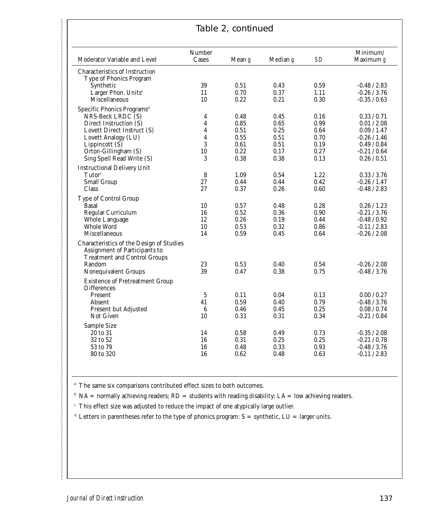| Number<br>Cases<br>39<br>11<br>10<br>4<br>4<br>4 | Mean $g$<br>0.51<br>0.70<br>0.22<br>0.48<br>0.85 | Median $g$<br>0.43<br>0.37<br>0.21<br>0.45 | SD<br>0.59<br>1.11<br>0.30<br>0.16 | Minimum/<br>Maximum $g$<br>$-0.48 / 2.83$<br>$-0.26 / 3.76$<br>$-0.35/0.63$ |
|--------------------------------------------------|--------------------------------------------------|--------------------------------------------|------------------------------------|-----------------------------------------------------------------------------|
|                                                  |                                                  |                                            |                                    |                                                                             |
|                                                  |                                                  |                                            |                                    |                                                                             |
|                                                  |                                                  |                                            |                                    |                                                                             |
|                                                  |                                                  |                                            |                                    |                                                                             |
|                                                  |                                                  |                                            |                                    |                                                                             |
|                                                  |                                                  |                                            |                                    |                                                                             |
|                                                  |                                                  |                                            |                                    |                                                                             |
|                                                  |                                                  |                                            |                                    | 0.33 / 0.71                                                                 |
|                                                  |                                                  | 0.65                                       | 0.99                               | 0.01 / 2.08                                                                 |
|                                                  | 0.51                                             | 0.25                                       | 0.64                               | 0.09/1.47                                                                   |
|                                                  | 0.55                                             | 0.51                                       | 0.70                               | $-0.26 / 1.46$                                                              |
| 3                                                | 0.61                                             | 0.51                                       | 0.19                               | 0.49 / 0.84                                                                 |
| 10                                               | 0.22                                             | 0.17                                       | 0.27                               | $-0.21/0.64$                                                                |
| 3                                                | 0.38                                             | 0.38                                       | 0.13                               | 0.26/0.51                                                                   |
|                                                  |                                                  |                                            |                                    |                                                                             |
| 8                                                | 1.09                                             | 0.54                                       | 1.22                               | 0.33 / 3.76                                                                 |
| 27                                               | 0.44                                             | 0.44                                       | 0.42                               | $-0.26/1.47$                                                                |
|                                                  | 0.37                                             | 0.26                                       | 0.60                               | $-0.48/2.83$                                                                |
|                                                  |                                                  |                                            |                                    |                                                                             |
| 10                                               |                                                  | 0.48                                       | 0.28                               | 0.26 / 1.23                                                                 |
| 16                                               | 0.52                                             | 0.36                                       | 0.90                               | $-0.21 / 3.76$                                                              |
| 12                                               | 0.26                                             | 0.19                                       | 0.44                               | $-0.48 / 0.92$                                                              |
| 10                                               | 0.53                                             | 0.32                                       | 0.86                               | $-0.11 / 2.83$                                                              |
| 14                                               | 0.59                                             | 0.45                                       | 0.64                               | $-0.26 / 2.08$                                                              |
|                                                  |                                                  |                                            |                                    |                                                                             |
|                                                  | 0.53                                             | 0.40                                       | 0.54                               | $-0.26 / 2.08$                                                              |
| 39                                               | 0.47                                             | 0.38                                       | 0.75                               | $-0.48/3.76$                                                                |
|                                                  |                                                  |                                            |                                    |                                                                             |
|                                                  |                                                  |                                            |                                    | 0.00 / 0.27                                                                 |
|                                                  |                                                  |                                            |                                    | $-0.48 / 3.76$                                                              |
|                                                  |                                                  |                                            |                                    | 0.08 / 0.74                                                                 |
|                                                  |                                                  |                                            |                                    | $-0.21/0.84$                                                                |
|                                                  |                                                  |                                            |                                    |                                                                             |
| 14                                               | 0.58                                             | 0.49                                       |                                    | $-0.35 / 2.08$                                                              |
| 16                                               | 0.31                                             | 0.25                                       | 0.25                               | $-0.21/0.78$                                                                |
| 16                                               | 0.48                                             | 0.33                                       | 0.93                               | $-0.48/3.76$                                                                |
|                                                  | 0.62                                             | 0.48                                       | 0.63                               | $-0.11 / 2.83$                                                              |
|                                                  | 4<br>27<br>23<br>5<br>41<br>6<br>10<br>16        | 0.57<br>0.11<br>0.59<br>0.46<br>0.33       | 0.04<br>0.40<br>0.45<br>0.31       | 0.13<br>0.79<br>0.25<br>0.34<br>0.73                                        |

<sup>a</sup> The same six comparisons contributed effect sizes to both outcomes.

 $h$  NA = normally achieving readers; RD = students with reading disability; LA = low achieving readers.

 $^{\circ}\,$  This effect size was adjusted to reduce the impact of one atypically large outlier.

<sup>d</sup> Letters in parentheses refer to the type of phonics program:  $S =$  synthetic,  $LU =$  larger units.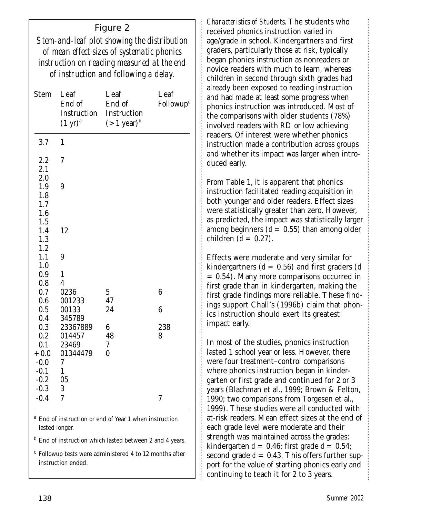#### Figure 2

*Stem-and-leaf plot showing the distribution of mean effect sizes of systematic phonics instruction on reading measured at the end of instruction and following a delay.*

| <b>Stem</b> | Leaf<br>End of<br>Instruction<br>$(1 \text{ yr})^{\text{a}}$ | Leaf<br>End of<br>Instruction<br>$(>1$ year) <sup>b</sup> | Leaf<br>Followup <sup>c</sup> |
|-------------|--------------------------------------------------------------|-----------------------------------------------------------|-------------------------------|
| 3.7         | 1                                                            |                                                           |                               |
| 2.2         | 7                                                            |                                                           |                               |
| 2.1         |                                                              |                                                           |                               |
| 2.0         |                                                              |                                                           |                               |
| 1.9         | 9                                                            |                                                           |                               |
| 1.8         |                                                              |                                                           |                               |
| 1.7         |                                                              |                                                           |                               |
| 1.6         |                                                              |                                                           |                               |
| 1.5         |                                                              |                                                           |                               |
| 1.4         | 12                                                           |                                                           |                               |
| 1.3         |                                                              |                                                           |                               |
| 1.2         |                                                              |                                                           |                               |
| 1.1         | 9                                                            |                                                           |                               |
| 1.0         |                                                              |                                                           |                               |
| 0.9         | 1                                                            |                                                           |                               |
| 0.8         | $\overline{\mathbf{4}}$                                      |                                                           |                               |
| 0.7         | 0236                                                         | 5                                                         | 6                             |
| 0.6         | 001233                                                       | 47                                                        |                               |
| 0.5         | 00133                                                        | 24                                                        | 6                             |
| 0.4         | 345789                                                       |                                                           |                               |
| 0.3         | 23367889                                                     | 6                                                         | 238                           |
| 0.2         | 014457                                                       | 48                                                        | 8                             |
| 0.1         | 23469                                                        | 7                                                         |                               |
| $+0.0$      | 01344479                                                     | $\theta$                                                  |                               |
| $-0.0$      | 7                                                            |                                                           |                               |
| $-0.1$      | 1                                                            |                                                           |                               |
| $-0.2$      | 05                                                           |                                                           |                               |
| $-0.3$      | 3                                                            |                                                           |                               |
| $-0.4$      | 7                                                            |                                                           | 7                             |

<sup>a</sup> End of instruction or end of Year 1 when instruction lasted longer.

<sup>b</sup> End of instruction which lasted between 2 and 4 years.

<sup>c</sup> Followup tests were administered 4 to 12 months after instruction ended.

*Characteristics of Students.* The students who received phonics instruction varied in age/grade in school. Kindergartners and first graders, particularly those at risk, typically began phonics instruction as nonreaders or novice readers with much to learn, whereas children in second through sixth grades had already been exposed to reading instruction and had made at least some progress when phonics instruction was introduced. Most of the comparisons with older students (78%) involved readers with RD or low achieving readers. Of interest were whether phonics instruction made a contribution across groups and whether its impact was larger when introduced early.

From Table 1, it is apparent that phonics instruction facilitated reading acquisition in both younger and older readers. Effect sizes were statistically greater than zero. However, as predicted, the impact was statistically larger among beginners  $(d = 0.55)$  than among older children  $(d = 0.27)$ .

Effects were moderate and very similar for kindergartners ( $d = 0.56$ ) and first graders ( $d$ = 0.54). Many more comparisons occurred in first grade than in kindergarten, making the first grade findings more reliable. These findings support Chall's (1996b) claim that phonics instruction should exert its greatest impact early.

In most of the studies, phonics instruction lasted 1 school year or less. However, there were four treatment–control comparisons where phonics instruction began in kindergarten or first grade and continued for 2 or 3 years (Blachman et al., 1999; Brown & Felton, 1990; two comparisons from Torgesen et al., 1999). These studies were all conducted with at-risk readers. Mean effect sizes at the end of each grade level were moderate and their strength was maintained across the grades: kindergarten  $d = 0.46$ ; first grade  $d = 0.54$ ; second grade  $d = 0.43$ . This offers further support for the value of starting phonics early and continuing to teach it for 2 to 3 years.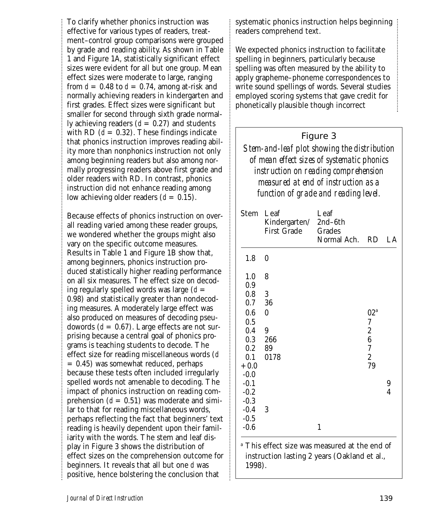To clarify whether phonics instruction was effective for various types of readers, treatment–control group comparisons were grouped by grade and reading ability. As shown in Table 1 and Figure 1A, statistically significant effect sizes were evident for all but one group. Mean effect sizes were moderate to large, ranging from  $d = 0.48$  to  $d = 0.74$ , among at-risk and normally achieving readers in kindergarten and first grades. Effect sizes were significant but smaller for second through sixth grade normally achieving readers  $(d = 0.27)$  and students with RD  $(d = 0.32)$ . These findings indicate that phonics instruction improves reading ability more than nonphonics instruction not only among beginning readers but also among normally progressing readers above first grade and older readers with RD. In contrast, phonics instruction did not enhance reading among low achieving older readers  $(d = 0.15)$ .

Because effects of phonics instruction on overall reading varied among these reader groups, we wondered whether the groups might also vary on the specific outcome measures. Results in Table 1 and Figure 1B show that, among beginners, phonics instruction produced statistically higher reading performance on all six measures. The effect size on decoding regularly spelled words was large (*d* = 0.98) and statistically greater than nondecoding measures. A moderately large effect was also produced on measures of decoding pseudowords  $(d = 0.67)$ . Large effects are not surprising because a central goal of phonics programs is teaching students to decode. The effect size for reading miscellaneous words (*d* = 0.45) was somewhat reduced, perhaps because these tests often included irregularly spelled words not amenable to decoding. The impact of phonics instruction on reading comprehension  $(d = 0.51)$  was moderate and similar to that for reading miscellaneous words, perhaps reflecting the fact that beginners' text reading is heavily dependent upon their familiarity with the words. The stem and leaf display in Figure 3 shows the distribution of effect sizes on the comprehension outcome for beginners. It reveals that all but one *d* was positive, hence bolstering the conclusion that

systematic phonics instruction helps beginning readers comprehend text.

We expected phonics instruction to facilitate spelling in beginners, particularly because spelling was often measured by the ability to apply grapheme–phoneme correspondences to write sound spellings of words. Several studies employed scoring systems that gave credit for phonetically plausible though incorrect

#### Figure 3

*Stem-and-leaf plot showing the distribution of mean effect sizes of systematic phonics instruction on reading comprehension measured at end of instruction as a function of grade and reading level.*

| Stem       | Leaf<br>Kindergarten/ 2nd-6th<br>First Grade | Leaf<br>Grades<br>Normal Ach. | RD LA                    |   |
|------------|----------------------------------------------|-------------------------------|--------------------------|---|
| 1.8        | 0                                            |                               |                          |   |
| 1.0<br>0.9 | 8                                            |                               |                          |   |
| 0.8        | 3                                            |                               |                          |   |
| 0.7        | 36                                           |                               |                          |   |
| 0.6        | $\boldsymbol{0}$                             |                               | $02^{\mathrm{a}}$        |   |
| 0.5        |                                              |                               | 7                        |   |
| 0.4        | 9                                            |                               | $\boldsymbol{2}$         |   |
| 0.3        | 266                                          |                               | $\boldsymbol{6}$         |   |
| $0.2\,$    | 89                                           |                               | $\overline{\mathcal{U}}$ |   |
| 0.1        | 0178                                         |                               | $\boldsymbol{2}$         |   |
| $+0.0$     |                                              |                               | 79                       |   |
| $-0.0$     |                                              |                               |                          |   |
| $-0.1$     |                                              |                               |                          | 9 |
| $-0.2$     |                                              |                               |                          | 4 |
| $-0.3$     |                                              |                               |                          |   |
| $-0.4$     | 3                                            |                               |                          |   |
| $-0.5$     |                                              |                               |                          |   |
| $-0.6$     |                                              | $\mathbf{1}$                  |                          |   |

<sup>a</sup> This effect size was measured at the end of instruction lasting 2 years (Oakland et al., 1998).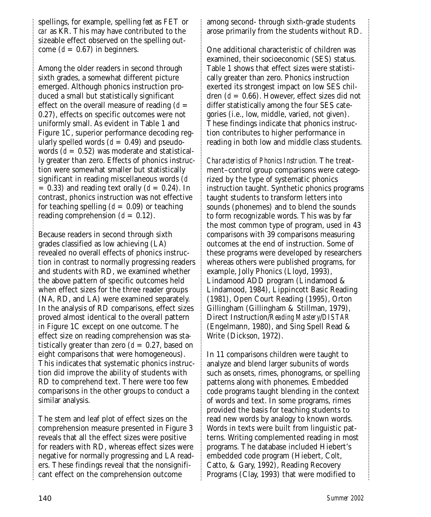spellings, for example, spelling *feet* as FET or *car* as KR. This may have contributed to the sizeable effect observed on the spelling outcome  $(d = 0.67)$  in beginners.

Among the older readers in second through sixth grades, a somewhat different picture emerged. Although phonics instruction produced a small but statistically significant effect on the overall measure of reading  $(d =$ 0.27), effects on specific outcomes were not uniformly small. As evident in Table 1 and Figure 1C, superior performance decoding regularly spelled words  $(d = 0.49)$  and pseudowords  $(d = 0.52)$  was moderate and statistically greater than zero. Effects of phonics instruction were somewhat smaller but statistically significant in reading miscellaneous words (*d*  $= 0.33$ ) and reading text orally ( $d = 0.24$ ). In contrast, phonics instruction was not effective for teaching spelling  $(d = 0.09)$  or teaching reading comprehension  $(d = 0.12)$ .

Because readers in second through sixth grades classified as low achieving (LA) revealed no overall effects of phonics instruction in contrast to normally progressing readers and students with RD, we examined whether the above pattern of specific outcomes held when effect sizes for the three reader groups (NA, RD, and LA) were examined separately. In the analysis of RD comparisons, effect sizes proved almost identical to the overall pattern in Figure 1C except on one outcome. The effect size on reading comprehension was statistically greater than zero  $(d = 0.27,$  based on eight comparisons that were homogeneous). This indicates that systematic phonics instruction did improve the ability of students with RD to comprehend text. There were too few comparisons in the other groups to conduct a similar analysis.

The stem and leaf plot of effect sizes on the comprehension measure presented in Figure 3 reveals that all the effect sizes were positive for readers with RD, whereas effect sizes were negative for normally progressing and LA readers. These findings reveal that the nonsignificant effect on the comprehension outcome

among second- through sixth-grade students arose primarily from the students without RD.

One additional characteristic of children was examined, their socioeconomic (SES) status. Table 1 shows that effect sizes were statistically greater than zero. Phonics instruction exerted its strongest impact on low SES children (*d* = 0.66). However, effect sizes did not differ statistically among the four SES categories (i.e., low, middle, varied, not given). These findings indicate that phonics instruction contributes to higher performance in reading in both low and middle class students.

*Characteristics of Phonics Instruction.* The treatment–control group comparisons were categorized by the type of systematic phonics instruction taught. Synthetic phonics programs taught students to transform letters into sounds (phonemes) and to blend the sounds to form recognizable words. This was by far the most common type of program, used in 43 comparisons with 39 comparisons measuring outcomes at the end of instruction. Some of these programs were developed by researchers whereas others were published programs, for example, Jolly Phonics (Lloyd, 1993), Lindamood ADD program (Lindamood & Lindamood, 1984), Lippincott Basic Reading (1981), Open Court Reading (1995), Orton Gillingham (Gillingham & Stillman, 1979), Direct Instruction/*Reading Mastery*/*DISTAR* (Engelmann, 1980), and Sing Spell Read & Write (Dickson, 1972).

In 11 comparisons children were taught to analyze and blend larger subunits of words such as onsets, rimes, phonograms, or spelling patterns along with phonemes. Embedded code programs taught blending in the context of words and text. In some programs, rimes provided the basis for teaching students to read new words by analogy to known words. Words in texts were built from linguistic patterns. Writing complemented reading in most programs. The database included Hiebert's embedded code program (Hiebert, Colt, Catto, & Gary, 1992), Reading Recovery Programs (Clay, 1993) that were modified to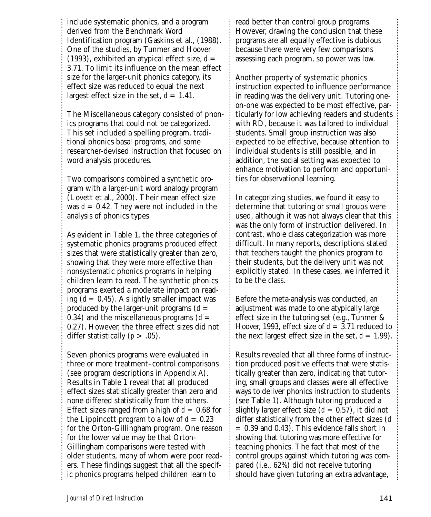include systematic phonics, and a program derived from the Benchmark Word Identification program (Gaskins et al., (1988). One of the studies, by Tunmer and Hoover (1993), exhibited an atypical effect size,  $d=$ 3.71. To limit its influence on the mean effect size for the larger-unit phonics category, its effect size was reduced to equal the next largest effect size in the set,  $d = 1.41$ .

The Miscellaneous category consisted of phonics programs that could not be categorized. This set included a spelling program, traditional phonics basal programs, and some researcher-devised instruction that focused on word analysis procedures.

Two comparisons combined a synthetic program with a larger-unit word analogy program (Lovett et al., 2000). Their mean effect size was  $d = 0.42$ . They were not included in the analysis of phonics types.

As evident in Table 1, the three categories of systematic phonics programs produced effect sizes that were statistically greater than zero, showing that they were more effective than nonsystematic phonics programs in helping children learn to read. The synthetic phonics programs exerted a moderate impact on reading  $(d = 0.45)$ . A slightly smaller impact was produced by the larger-unit programs  $(d =$ 0.34) and the miscellaneous programs  $(d =$ 0.27). However, the three effect sizes did not differ statistically ( $p > .05$ ).

Seven phonics programs were evaluated in three or more treatment–control comparisons (see program descriptions in Appendix A). Results in Table 1 reveal that all produced effect sizes statistically greater than zero and none differed statistically from the others. Effect sizes ranged from a high of  $d = 0.68$  for the Lippincott program to a low of  $d = 0.23$ for the Orton-Gillingham program. One reason for the lower value may be that Orton-Gillingham comparisons were tested with older students, many of whom were poor readers. These findings suggest that all the specific phonics programs helped children learn to

read better than control group programs. However, drawing the conclusion that these programs are all equally effective is dubious because there were very few comparisons assessing each program, so power was low.

Another property of systematic phonics instruction expected to influence performance in reading was the delivery unit. Tutoring oneon-one was expected to be most effective, particularly for low achieving readers and students with RD, because it was tailored to individual students. Small group instruction was also expected to be effective, because attention to individual students is still possible, and in addition, the social setting was expected to enhance motivation to perform and opportunities for observational learning.

In categorizing studies, we found it easy to determine that tutoring or small groups were used, although it was not always clear that this was the only form of instruction delivered. In contrast, whole class categorization was more difficult. In many reports, descriptions stated that teachers taught the phonics program to their students, but the delivery unit was not explicitly stated. In these cases, we inferred it to be the class.

Before the meta-analysis was conducted, an adjustment was made to one atypically large effect size in the tutoring set (e.g., Tunmer & Hoover, 1993, effect size of  $d = 3.71$  reduced to the next largest effect size in the set,  $d = 1.99$ ).

Results revealed that all three forms of instruction produced positive effects that were statistically greater than zero, indicating that tutoring, small groups and classes were all effective ways to deliver phonics instruction to students (see Table 1). Although tutoring produced a slightly larger effect size (*d* = 0.57), it did not differ statistically from the other effect sizes (*d*  $= 0.39$  and  $(0.43)$ . This evidence falls short in showing that tutoring was more effective for teaching phonics. The fact that most of the control groups against which tutoring was compared (i.e., 62%) did not receive tutoring should have given tutoring an extra advantage,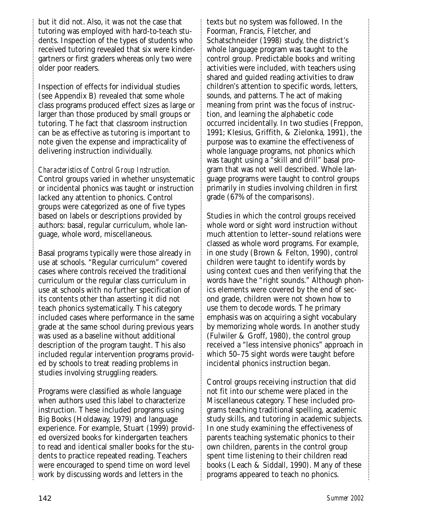but it did not. Also, it was not the case that tutoring was employed with hard-to-teach students. Inspection of the types of students who received tutoring revealed that six were kindergartners or first graders whereas only two were older poor readers.

Inspection of effects for individual studies (see Appendix B) revealed that some whole class programs produced effect sizes as large or larger than those produced by small groups or tutoring. The fact that classroom instruction can be as effective as tutoring is important to note given the expense and impracticality of delivering instruction individually.

*Characteristics of Control Group Instruction.*

Control groups varied in whether unsystematic or incidental phonics was taught or instruction lacked any attention to phonics. Control groups were categorized as one of five types based on labels or descriptions provided by authors: basal, regular curriculum, whole language, whole word, miscellaneous.

Basal programs typically were those already in use at schools. "Regular curriculum" covered cases where controls received the traditional curriculum or the regular class curriculum in use at schools with no further specification of its contents other than asserting it did not teach phonics systematically. This category included cases where performance in the same grade at the same school during previous years was used as a baseline without additional description of the program taught. This also included regular intervention programs provided by schools to treat reading problems in studies involving struggling readers.

Programs were classified as whole language when authors used this label to characterize instruction. These included programs using Big Books (Holdaway, 1979) and language experience. For example, Stuart (1999) provided oversized books for kindergarten teachers to read and identical smaller books for the students to practice repeated reading. Teachers were encouraged to spend time on word level work by discussing words and letters in the

texts but no system was followed. In the Foorman, Francis, Fletcher, and Schatschneider (1998) study, the district's whole language program was taught to the control group. Predictable books and writing activities were included, with teachers using shared and guided reading activities to draw children's attention to specific words, letters, sounds, and patterns. The act of making meaning from print was the focus of instruction, and learning the alphabetic code occurred incidentally. In two studies (Freppon, 1991; Klesius, Griffith, & Zielonka, 1991), the purpose was to examine the effectiveness of whole language programs, not phonics which was taught using a "skill and drill" basal program that was not well described. Whole language programs were taught to control groups primarily in studies involving children in first grade (67% of the comparisons).

Studies in which the control groups received whole word or sight word instruction without much attention to letter–sound relations were classed as whole word programs. For example, in one study (Brown & Felton, 1990), control children were taught to identify words by using context cues and then verifying that the words have the "right sounds." Although phonics elements were covered by the end of second grade, children were not shown how to use them to decode words. The primary emphasis was on acquiring a sight vocabulary by memorizing whole words. In another study (Fulwiler & Groff, 1980), the control group received a "less intensive phonics" approach in which 50–75 sight words were taught before incidental phonics instruction began.

Control groups receiving instruction that did not fit into our scheme were placed in the Miscellaneous category. These included programs teaching traditional spelling, academic study skills, and tutoring in academic subjects. In one study examining the effectiveness of parents teaching systematic phonics to their own children, parents in the control group spent time listening to their children read books (Leach & Siddall, 1990). Many of these programs appeared to teach no phonics.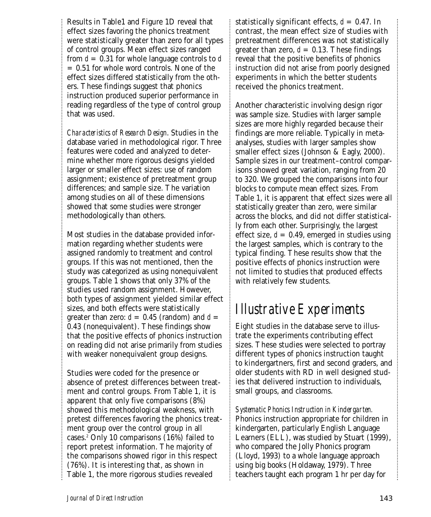Results in Table1 and Figure 1D reveal that effect sizes favoring the phonics treatment were statistically greater than zero for all types of control groups. Mean effect sizes ranged from  $d = 0.31$  for whole language controls to  $d$  $= 0.51$  for whole word controls. None of the effect sizes differed statistically from the others. These findings suggest that phonics instruction produced superior performance in reading regardless of the type of control group that was used.

*Characteristics of Research Design*. Studies in the database varied in methodological rigor. Three features were coded and analyzed to determine whether more rigorous designs yielded larger or smaller effect sizes: use of random assignment; existence of pretreatment group differences; and sample size. The variation among studies on all of these dimensions showed that some studies were stronger methodologically than others.

Most studies in the database provided information regarding whether students were assigned randomly to treatment and control groups. If this was not mentioned, then the study was categorized as using nonequivalent groups. Table 1 shows that only 37% of the studies used random assignment. However, both types of assignment yielded similar effect sizes, and both effects were statistically greater than zero:  $d = 0.45$  (random) and  $d =$ 0.43 (nonequivalent). These findings show that the positive effects of phonics instruction on reading did not arise primarily from studies with weaker nonequivalent group designs.

Studies were coded for the presence or absence of pretest differences between treatment and control groups. From Table 1, it is apparent that only five comparisons (8%) showed this methodological weakness, with pretest differences favoring the phonics treatment group over the control group in all cases.2 Only 10 comparisons (16%) failed to report pretest information. The majority of the comparisons showed rigor in this respect (76%). It is interesting that, as shown in Table 1, the more rigorous studies revealed

statistically significant effects,  $d = 0.47$ . In contrast, the mean effect size of studies with pretreatment differences was not statistically greater than zero,  $d = 0.13$ . These findings reveal that the positive benefits of phonics instruction did not arise from poorly designed experiments in which the better students received the phonics treatment.

Another characteristic involving design rigor was sample size. Studies with larger sample sizes are more highly regarded because their findings are more reliable. Typically in metaanalyses, studies with larger samples show smaller effect sizes (Johnson & Eagly, 2000). Sample sizes in our treatment–control comparisons showed great variation, ranging from 20 to 320. We grouped the comparisons into four blocks to compute mean effect sizes. From Table 1, it is apparent that effect sizes were all statistically greater than zero, were similar across the blocks, and did not differ statistically from each other. Surprisingly, the largest effect size,  $d = 0.49$ , emerged in studies using the largest samples, which is contrary to the typical finding. These results show that the positive effects of phonics instruction were not limited to studies that produced effects with relatively few students.

## *Illustrative Experiments*

Eight studies in the database serve to illustrate the experiments contributing effect sizes. These studies were selected to portray different types of phonics instruction taught to kindergartners, first and second graders, and older students with RD in well designed studies that delivered instruction to individuals, small groups, and classrooms.

*Systematic Phonics Instruction in Kindergarten.* Phonics instruction appropriate for children in kindergarten, particularly English Language Learners (ELL), was studied by Stuart (1999), who compared the Jolly Phonics program (Lloyd, 1993) to a whole language approach using big books (Holdaway, 1979). Three teachers taught each program 1 hr per day for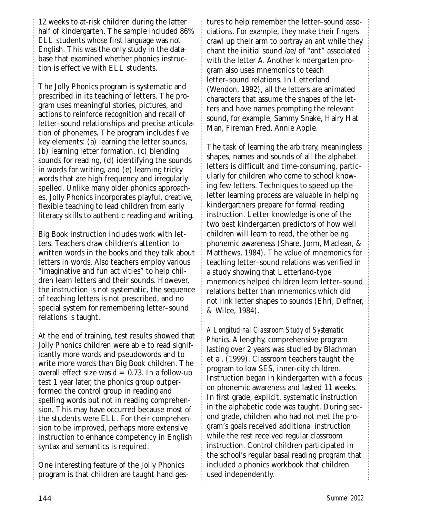12 weeks to at-risk children during the latter half of kindergarten. The sample included 86% ELL students whose first language was not English. This was the only study in the database that examined whether phonics instruction is effective with ELL students.

The Jolly Phonics program is systematic and prescribed in its teaching of letters. The program uses meaningful stories, pictures, and actions to reinforce recognition and recall of letter–sound relationships and precise articulation of phonemes. The program includes five key elements: (a) learning the letter sounds, (b) learning letter formation, (c) blending sounds for reading, (d) identifying the sounds in words for writing, and (e) learning tricky words that are high frequency and irregularly spelled. Unlike many older phonics approaches, Jolly Phonics incorporates playful, creative, flexible teaching to lead children from early literacy skills to authentic reading and writing.

Big Book instruction includes work with letters. Teachers draw children's attention to written words in the books and they talk about letters in words. Also teachers employ various "imaginative and fun activities" to help children learn letters and their sounds. However, the instruction is not systematic, the sequence of teaching letters is not prescribed, and no special system for remembering letter–sound relations is taught.

At the end of training, test results showed that Jolly Phonics children were able to read significantly more words and pseudowords and to write more words than Big Book children. The overall effect size was  $d = 0.73$ . In a follow-up test 1 year later, the phonics group outperformed the control group in reading and spelling words but not in reading comprehension. This may have occurred because most of the students were ELL. For their comprehension to be improved, perhaps more extensive instruction to enhance competency in English syntax and semantics is required.

One interesting feature of the Jolly Phonics program is that children are taught hand ges-

tures to help remember the letter–sound associations. For example, they make their fingers crawl up their arm to portray an ant while they chant the initial sound /ae/ of "ant" associated with the letter A. Another kindergarten program also uses mnemonics to teach letter–sound relations. In Letterland (Wendon, 1992), all the letters are animated characters that assume the shapes of the letters and have names prompting the relevant sound, for example, Sammy Snake, Hairy Hat Man, Fireman Fred, Annie Apple.

The task of learning the arbitrary, meaningless shapes, names and sounds of all the alphabet letters is difficult and time-consuming, particularly for children who come to school knowing few letters. Techniques to speed up the letter learning process are valuable in helping kindergartners prepare for formal reading instruction. Letter knowledge is one of the two best kindergarten predictors of how well children will learn to read, the other being phonemic awareness (Share, Jorm, Maclean, & Matthews, 1984). The value of mnemonics for teaching letter–sound relations was verified in a study showing that Letterland-type mnemonics helped children learn letter–sound relations better than mnemonics which did not link letter shapes to sounds (Ehri, Deffner, & Wilce, 1984).

*A Longitudinal Classroom Study of Systematic Phonics.* A lengthy, comprehensive program lasting over 2 years was studied by Blachman et al. (1999). Classroom teachers taught the program to low SES, inner-city children. Instruction began in kindergarten with a focus on phonemic awareness and lasted 11 weeks. In first grade, explicit, systematic instruction in the alphabetic code was taught. During second grade, children who had not met the program's goals received additional instruction while the rest received regular classroom instruction. Control children participated in the school's regular basal reading program that included a phonics workbook that children used independently.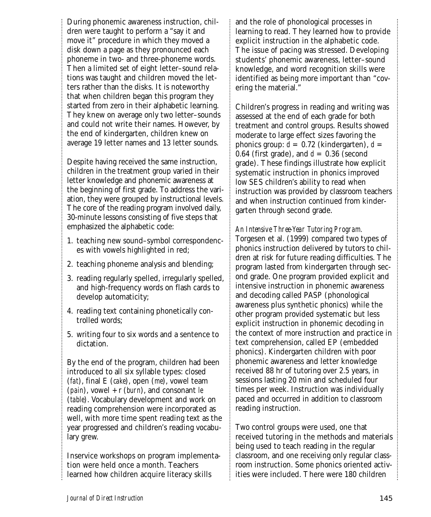During phonemic awareness instruction, children were taught to perform a "say it and move it" procedure in which they moved a disk down a page as they pronounced each phoneme in two- and three-phoneme words. Then a limited set of eight letter–sound relations was taught and children moved the letters rather than the disks. It is noteworthy that when children began this program they started from zero in their alphabetic learning. They knew on average only two letter–sounds and could not write their names. However, by the end of kindergarten, children knew on average 19 letter names and 13 letter sounds.

Despite having received the same instruction, children in the treatment group varied in their letter knowledge and phonemic awareness at the beginning of first grade. To address the variation, they were grouped by instructional levels. The core of the reading program involved daily, 30-minute lessons consisting of five steps that emphasized the alphabetic code:

- 1. teaching new sound–symbol correspondences with vowels highlighted in red;
- 2. teaching phoneme analysis and blending;
- 3. reading regularly spelled, irregularly spelled, and high-frequency words on flash cards to develop automaticity;
- 4. reading text containing phonetically controlled words;
- 5. writing four to six words and a sentence to dictation.

By the end of the program, children had been introduced to all six syllable types: closed (*fat*), final E (*cake*), open (*me*), vowel team (*pain*), vowel +r (*burn*), and consonant *le* (*table*). Vocabulary development and work on reading comprehension were incorporated as well, with more time spent reading text as the year progressed and children's reading vocabulary grew.

Inservice workshops on program implementation were held once a month. Teachers learned how children acquire literacy skills

and the role of phonological processes in learning to read. They learned how to provide explicit instruction in the alphabetic code. The issue of pacing was stressed. Developing students' phonemic awareness, letter–sound knowledge, and word recognition skills were identified as being more important than "covering the material."

Children's progress in reading and writing was assessed at the end of each grade for both treatment and control groups. Results showed moderate to large effect sizes favoring the phonics group:  $d = 0.72$  (kindergarten),  $d =$ 0.64 (first grade), and  $d = 0.36$  (second grade). These findings illustrate how explicit systematic instruction in phonics improved low SES children's ability to read when instruction was provided by classroom teachers and when instruction continued from kindergarten through second grade.

*An Intensive Three-Year Tutoring Program.*

Torgesen et al. (1999) compared two types of phonics instruction delivered by tutors to children at risk for future reading difficulties. The program lasted from kindergarten through second grade. One program provided explicit and intensive instruction in phonemic awareness and decoding called PASP (phonological awareness plus synthetic phonics) while the other program provided systematic but less explicit instruction in phonemic decoding in the context of more instruction and practice in text comprehension, called EP (embedded phonics). Kindergarten children with poor phonemic awareness and letter knowledge received 88 hr of tutoring over 2.5 years, in sessions lasting 20 min and scheduled four times per week. Instruction was individually paced and occurred in addition to classroom reading instruction.

Two control groups were used, one that received tutoring in the methods and materials being used to teach reading in the regular classroom, and one receiving only regular classroom instruction. Some phonics oriented activities were included. There were 180 children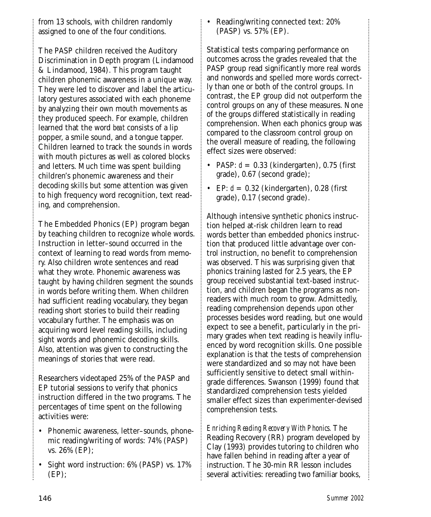from 13 schools, with children randomly assigned to one of the four conditions.

The PASP children received the Auditory Discrimination in Depth program (Lindamood & Lindamood, 1984). This program taught children phonemic awareness in a unique way. They were led to discover and label the articulatory gestures associated with each phoneme by analyzing their own mouth movements as they produced speech. For example, children learned that the word *beat* consists of a lip popper, a smile sound, and a tongue tapper. Children learned to track the sounds in words with mouth pictures as well as colored blocks and letters. Much time was spent building children's phonemic awareness and their decoding skills but some attention was given to high frequency word recognition, text reading, and comprehension.

The Embedded Phonics (EP) program began by teaching children to recognize whole words. Instruction in letter–sound occurred in the context of learning to read words from memory. Also children wrote sentences and read what they wrote. Phonemic awareness was taught by having children segment the sounds in words before writing them. When children had sufficient reading vocabulary, they began reading short stories to build their reading vocabulary further. The emphasis was on acquiring word level reading skills, including sight words and phonemic decoding skills. Also, attention was given to constructing the meanings of stories that were read.

Researchers videotaped 25% of the PASP and EP tutorial sessions to verify that phonics instruction differed in the two programs. The percentages of time spent on the following activities were:

- Phonemic awareness, letter–sounds, phonemic reading/writing of words: 74% (PASP) vs. 26% (EP);
- Sight word instruction: 6% (PASP) vs. 17% (EP);

• Reading/writing connected text: 20% (PASP) vs. 57% (EP).

Statistical tests comparing performance on outcomes across the grades revealed that the PASP group read significantly more real words and nonwords and spelled more words correctly than one or both of the control groups. In contrast, the EP group did not outperform the control groups on any of these measures. None of the groups differed statistically in reading comprehension. When each phonics group was compared to the classroom control group on the overall measure of reading, the following effect sizes were observed:

- PASP:  $d = 0.33$  (kindergarten), 0.75 (first grade), 0.67 (second grade);
- EP:  $d = 0.32$  (kindergarten), 0.28 (first grade), 0.17 (second grade).

Although intensive synthetic phonics instruction helped at-risk children learn to read words better than embedded phonics instruction that produced little advantage over control instruction, no benefit to comprehension was observed. This was surprising given that phonics training lasted for 2.5 years, the EP group received substantial text-based instruction, and children began the programs as nonreaders with much room to grow. Admittedly, reading comprehension depends upon other processes besides word reading, but one would expect to see a benefit, particularly in the primary grades when text reading is heavily influenced by word recognition skills. One possible explanation is that the tests of comprehension were standardized and so may not have been sufficiently sensitive to detect small withingrade differences. Swanson (1999) found that standardized comprehension tests yielded smaller effect sizes than experimenter-devised comprehension tests.

*Enriching Reading Recovery With Phonics.* The Reading Recovery (RR) program developed by Clay (1993) provides tutoring to children who have fallen behind in reading after a year of instruction. The 30-min RR lesson includes several activities: rereading two familiar books,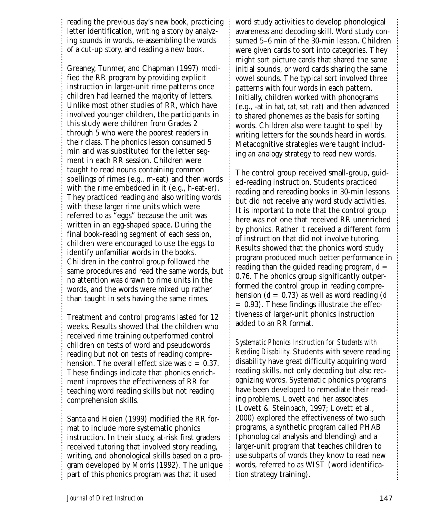reading the previous day's new book, practicing letter identification, writing a story by analyzing sounds in words, re-assembling the words of a cut-up story, and reading a new book.

Greaney, Tunmer, and Chapman (1997) modified the RR program by providing explicit instruction in larger-unit rime patterns once children had learned the majority of letters. Unlike most other studies of RR, which have involved younger children, the participants in this study were children from Grades 2 through 5 who were the poorest readers in their class. The phonics lesson consumed 5 min and was substituted for the letter segment in each RR session. Children were taught to read nouns containing common spellings of rimes (e.g., m-eat) and then words with the rime embedded in it (e.g., h-eat-er). They practiced reading and also writing words with these larger rime units which were referred to as "eggs" because the unit was written in an egg-shaped space. During the final book-reading segment of each session, children were encouraged to use the eggs to identify unfamiliar words in the books. Children in the control group followed the same procedures and read the same words, but no attention was drawn to rime units in the words, and the words were mixed up rather than taught in sets having the same rimes.

Treatment and control programs lasted for 12 weeks. Results showed that the children who received rime training outperformed control children on tests of word and pseudowords reading but not on tests of reading comprehension. The overall effect size was  $d = 0.37$ . These findings indicate that phonics enrichment improves the effectiveness of RR for teaching word reading skills but not reading comprehension skills.

Santa and Hoien (1999) modified the RR format to include more systematic phonics instruction. In their study, at-risk first graders received tutoring that involved story reading, writing, and phonological skills based on a program developed by Morris (1992). The unique part of this phonics program was that it used

word study activities to develop phonological awareness and decoding skill. Word study consumed 5–6 min of the 30-min lesson. Children were given cards to sort into categories. They might sort picture cards that shared the same initial sounds, or word cards sharing the same vowel sounds. The typical sort involved three patterns with four words in each pattern. Initially, children worked with phonograms (e.g., -at in *hat, cat, sat, rat*) and then advanced to shared phonemes as the basis for sorting words. Children also were taught to spell by writing letters for the sounds heard in words. Metacognitive strategies were taught including an analogy strategy to read new words.

The control group received small-group, guided-reading instruction. Students practiced reading and rereading books in 30-min lessons but did not receive any word study activities. It is important to note that the control group here was not one that received RR unenriched by phonics. Rather it received a different form of instruction that did not involve tutoring. Results showed that the phonics word study program produced much better performance in reading than the guided reading program,  $d =$ 0.76. The phonics group significantly outperformed the control group in reading comprehension (*d* = 0.73) as well as word reading (*d*  $= 0.93$ ). These findings illustrate the effectiveness of larger-unit phonics instruction added to an RR format.

*Systematic Phonics Instruction for Students with Reading Disability.* Students with severe reading disability have great difficulty acquiring word reading skills, not only decoding but also recognizing words. Systematic phonics programs have been developed to remediate their reading problems. Lovett and her associates (Lovett & Steinbach, 1997; Lovett et al., 2000) explored the effectiveness of two such programs, a synthetic program called PHAB (phonological analysis and blending) and a larger-unit program that teaches children to use subparts of words they know to read new words, referred to as WIST (word identification strategy training).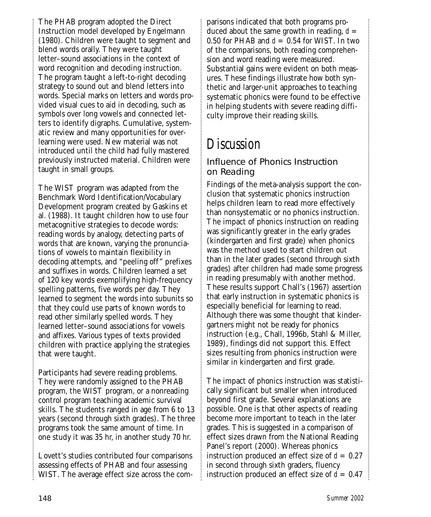The PHAB program adopted the Direct Instruction model developed by Engelmann (1980). Children were taught to segment and blend words orally. They were taught letter–sound associations in the context of word recognition and decoding instruction. The program taught a left-to-right decoding strategy to sound out and blend letters into words. Special marks on letters and words provided visual cues to aid in decoding, such as symbols over long vowels and connected letters to identify digraphs. Cumulative, systematic review and many opportunities for overlearning were used. New material was not introduced until the child had fully mastered previously instructed material. Children were taught in small groups.

The WIST program was adapted from the Benchmark Word Identification/Vocabulary Development program created by Gaskins et al. (1988). It taught children how to use four metacognitive strategies to decode words: reading words by analogy, detecting parts of words that are known, varying the pronunciations of vowels to maintain flexibility in decoding attempts, and "peeling off" prefixes and suffixes in words. Children learned a set of 120 key words exemplifying high-frequency spelling patterns, five words per day. They learned to segment the words into subunits so that they could use parts of known words to read other similarly spelled words. They learned letter–sound associations for vowels and affixes. Various types of texts provided children with practice applying the strategies that were taught.

Participants had severe reading problems. They were randomly assigned to the PHAB program, the WIST program, or a nonreading control program teaching academic survival skills. The students ranged in age from 6 to 13 years (second through sixth grades). The three programs took the same amount of time. In one study it was 35 hr, in another study 70 hr.

Lovett's studies contributed four comparisons assessing effects of PHAB and four assessing WIST. The average effect size across the comparisons indicated that both programs produced about the same growth in reading,  $d =$ 0.50 for PHAB and  $d = 0.54$  for WIST. In two of the comparisons, both reading comprehension and word reading were measured. Substantial gains were evident on both measures. These findings illustrate how both synthetic and larger-unit approaches to teaching systematic phonics were found to be effective in helping students with severe reading difficulty improve their reading skills.

## *Discussion*

#### Influence of Phonics Instruction on Reading

Findings of the meta-analysis support the conclusion that systematic phonics instruction helps children learn to read more effectively than nonsystematic or no phonics instruction. The impact of phonics instruction on reading was significantly greater in the early grades (kindergarten and first grade) when phonics was the method used to start children out than in the later grades (second through sixth grades) after children had made some progress in reading presumably with another method. These results support Chall's (1967) assertion that early instruction in systematic phonics is especially beneficial for learning to read. Although there was some thought that kindergartners might not be ready for phonics instruction (e.g., Chall, 1996b, Stahl & Miller, 1989), findings did not support this. Effect sizes resulting from phonics instruction were similar in kindergarten and first grade.

The impact of phonics instruction was statistically significant but smaller when introduced beyond first grade. Several explanations are possible. One is that other aspects of reading become more important to teach in the later grades. This is suggested in a comparison of effect sizes drawn from the National Reading Panel's report (2000). Whereas phonics instruction produced an effect size of  $d = 0.27$ in second through sixth graders, fluency instruction produced an effect size of  $d = 0.47$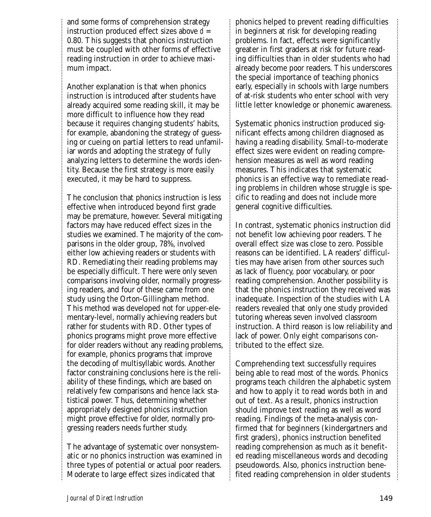and some forms of comprehension strategy instruction produced effect sizes above  $d =$ 0.80. This suggests that phonics instruction must be coupled with other forms of effective reading instruction in order to achieve maximum impact.

Another explanation is that when phonics instruction is introduced after students have already acquired some reading skill, it may be more difficult to influence how they read because it requires changing students' habits, for example, abandoning the strategy of guessing or cueing on partial letters to read unfamiliar words and adopting the strategy of fully analyzing letters to determine the words identity. Because the first strategy is more easily executed, it may be hard to suppress.

The conclusion that phonics instruction is less effective when introduced beyond first grade may be premature, however. Several mitigating factors may have reduced effect sizes in the studies we examined. The majority of the comparisons in the older group, 78%, involved either low achieving readers or students with RD. Remediating their reading problems may be especially difficult. There were only seven comparisons involving older, normally progressing readers, and four of these came from one study using the Orton-Gillingham method. This method was developed not for upper-elementary-level, normally achieving readers but rather for students with RD. Other types of phonics programs might prove more effective for older readers without any reading problems, for example, phonics programs that improve the decoding of multisyllabic words. Another factor constraining conclusions here is the reliability of these findings, which are based on relatively few comparisons and hence lack statistical power. Thus, determining whether appropriately designed phonics instruction might prove effective for older, normally progressing readers needs further study.

The advantage of systematic over nonsystematic or no phonics instruction was examined in three types of potential or actual poor readers. Moderate to large effect sizes indicated that

phonics helped to prevent reading difficulties in beginners at risk for developing reading problems. In fact, effects were significantly greater in first graders at risk for future reading difficulties than in older students who had already become poor readers. This underscores the special importance of teaching phonics early, especially in schools with large numbers of at-risk students who enter school with very little letter knowledge or phonemic awareness.

Systematic phonics instruction produced significant effects among children diagnosed as having a reading disability. Small-to-moderate effect sizes were evident on reading comprehension measures as well as word reading measures. This indicates that systematic phonics is an effective way to remediate reading problems in children whose struggle is specific to reading and does not include more general cognitive difficulties.

In contrast, systematic phonics instruction did not benefit low achieving poor readers. The overall effect size was close to zero. Possible reasons can be identified. LA readers' difficulties may have arisen from other sources such as lack of fluency, poor vocabulary, or poor reading comprehension. Another possibility is that the phonics instruction they received was inadequate. Inspection of the studies with LA readers revealed that only one study provided tutoring whereas seven involved classroom instruction. A third reason is low reliability and lack of power. Only eight comparisons contributed to the effect size.

Comprehending text successfully requires being able to read most of the words. Phonics programs teach children the alphabetic system and how to apply it to read words both in and out of text. As a result, phonics instruction should improve text reading as well as word reading. Findings of the meta-analysis confirmed that for beginners (kindergartners and first graders), phonics instruction benefited reading comprehension as much as it benefited reading miscellaneous words and decoding pseudowords. Also, phonics instruction benefited reading comprehension in older students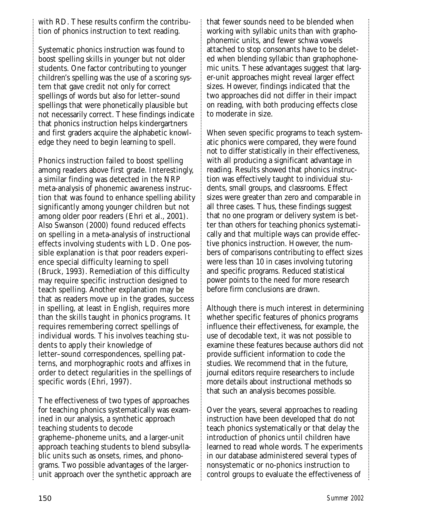with RD. These results confirm the contribution of phonics instruction to text reading.

Systematic phonics instruction was found to boost spelling skills in younger but not older students. One factor contributing to younger children's spelling was the use of a scoring system that gave credit not only for correct spellings of words but also for letter–sound spellings that were phonetically plausible but not necessarily correct. These findings indicate that phonics instruction helps kindergartners and first graders acquire the alphabetic knowledge they need to begin learning to spell.

Phonics instruction failed to boost spelling among readers above first grade. Interestingly, a similar finding was detected in the NRP meta-analysis of phonemic awareness instruction that was found to enhance spelling ability significantly among younger children but not among older poor readers (Ehri et al., 2001). Also Swanson (2000) found reduced effects on spelling in a meta-analysis of instructional effects involving students with LD. One possible explanation is that poor readers experience special difficulty learning to spell (Bruck, 1993). Remediation of this difficulty may require specific instruction designed to teach spelling. Another explanation may be that as readers move up in the grades, success in spelling, at least in English, requires more than the skills taught in phonics programs. It requires remembering correct spellings of individual words. This involves teaching students to apply their knowledge of letter–sound correspondences, spelling patterns, and morphographic roots and affixes in order to detect regularities in the spellings of specific words (Ehri, 1997).

The effectiveness of two types of approaches for teaching phonics systematically was examined in our analysis, a synthetic approach teaching students to decode grapheme–phoneme units, and a larger-unit approach teaching students to blend subsyllablic units such as onsets, rimes, and phonograms. Two possible advantages of the largerunit approach over the synthetic approach are

that fewer sounds need to be blended when working with syllabic units than with graphophonemic units, and fewer schwa vowels attached to stop consonants have to be deleted when blending syllabic than graphophonemic units. These advantages suggest that larger-unit approaches might reveal larger effect sizes. However, findings indicated that the two approaches did not differ in their impact on reading, with both producing effects close to moderate in size.

When seven specific programs to teach systematic phonics were compared, they were found not to differ statistically in their effectiveness, with all producing a significant advantage in reading. Results showed that phonics instruction was effectively taught to individual students, small groups, and classrooms. Effect sizes were greater than zero and comparable in all three cases. Thus, these findings suggest that no one program or delivery system is better than others for teaching phonics systematically and that multiple ways can provide effective phonics instruction. However, the numbers of comparisons contributing to effect sizes were less than 10 in cases involving tutoring and specific programs. Reduced statistical power points to the need for more research before firm conclusions are drawn.

Although there is much interest in determining whether specific features of phonics programs influence their effectiveness, for example, the use of decodable text, it was not possible to examine these features because authors did not provide sufficient information to code the studies. We recommend that in the future, journal editors require researchers to include more details about instructional methods so that such an analysis becomes possible.

Over the years, several approaches to reading instruction have been developed that do not teach phonics systematically or that delay the introduction of phonics until children have learned to read whole words. The experiments in our database administered several types of nonsystematic or no-phonics instruction to control groups to evaluate the effectiveness of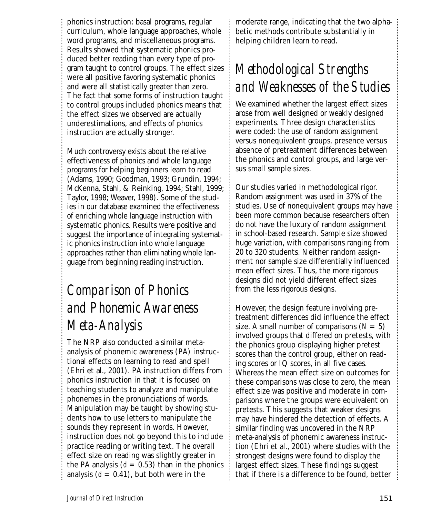phonics instruction: basal programs, regular curriculum, whole language approaches, whole word programs, and miscellaneous programs. Results showed that systematic phonics produced better reading than every type of program taught to control groups. The effect sizes were all positive favoring systematic phonics and were all statistically greater than zero. The fact that some forms of instruction taught to control groups included phonics means that the effect sizes we observed are actually underestimations, and effects of phonics instruction are actually stronger.

Much controversy exists about the relative effectiveness of phonics and whole language programs for helping beginners learn to read (Adams, 1990; Goodman, 1993; Grundin, 1994; McKenna, Stahl, & Reinking, 1994; Stahl, 1999; Taylor, 1998; Weaver, 1998). Some of the studies in our database examined the effectiveness of enriching whole language instruction with systematic phonics. Results were positive and suggest the importance of integrating systematic phonics instruction into whole language approaches rather than eliminating whole language from beginning reading instruction.

## *Comparison of Phonics and Phonemic Awareness Meta-Analysis*

The NRP also conducted a similar metaanalysis of phonemic awareness (PA) instructional effects on learning to read and spell (Ehri et al., 2001). PA instruction differs from phonics instruction in that it is focused on teaching students to analyze and manipulate phonemes in the pronunciations of words. Manipulation may be taught by showing students how to use letters to manipulate the sounds they represent in words. However, instruction does not go beyond this to include practice reading or writing text. The overall effect size on reading was slightly greater in the PA analysis  $(d = 0.53)$  than in the phonics analysis  $(d = 0.41)$ , but both were in the

moderate range, indicating that the two alphabetic methods contribute substantially in helping children learn to read.

# *Methodological Strengths and Weaknesses of the Studies*

We examined whether the largest effect sizes arose from well designed or weakly designed experiments. Three design characteristics were coded: the use of random assignment versus nonequivalent groups, presence versus absence of pretreatment differences between the phonics and control groups, and large versus small sample sizes.

Our studies varied in methodological rigor. Random assignment was used in 37% of the studies. Use of nonequivalent groups may have been more common because researchers often do not have the luxury of random assignment in school-based research. Sample size showed huge variation, with comparisons ranging from 20 to 320 students. Neither random assignment nor sample size differentially influenced mean effect sizes. Thus, the more rigorous designs did not yield different effect sizes from the less rigorous designs.

However, the design feature involving pretreatment differences did influence the effect size. A small number of comparisons  $(N = 5)$ involved groups that differed on pretests, with the phonics group displaying higher pretest scores than the control group, either on reading scores or IQ scores, in all five cases. Whereas the mean effect size on outcomes for these comparisons was close to zero, the mean effect size was positive and moderate in comparisons where the groups were equivalent on pretests. This suggests that weaker designs may have hindered the detection of effects. A similar finding was uncovered in the NRP meta-analysis of phonemic awareness instruction (Ehri et al., 2001) where studies with the strongest designs were found to display the largest effect sizes. These findings suggest that if there is a difference to be found, better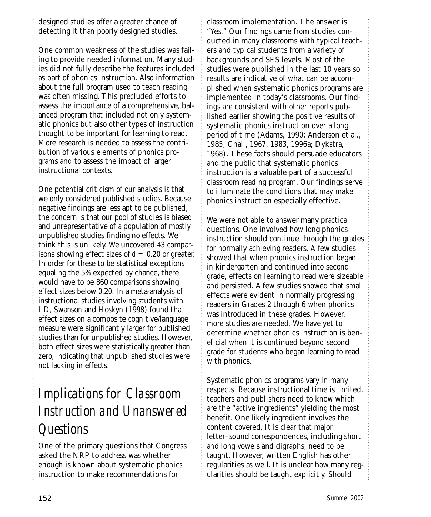designed studies offer a greater chance of detecting it than poorly designed studies.

One common weakness of the studies was failing to provide needed information. Many studies did not fully describe the features included as part of phonics instruction. Also information about the full program used to teach reading was often missing. This precluded efforts to assess the importance of a comprehensive, balanced program that included not only systematic phonics but also other types of instruction thought to be important for learning to read. More research is needed to assess the contribution of various elements of phonics programs and to assess the impact of larger instructional contexts.

One potential criticism of our analysis is that we only considered published studies. Because negative findings are less apt to be published, the concern is that our pool of studies is biased and unrepresentative of a population of mostly unpublished studies finding no effects. We think this is unlikely. We uncovered 43 comparisons showing effect sizes of  $d = 0.20$  or greater. In order for these to be statistical exceptions equaling the 5% expected by chance, there would have to be 860 comparisons showing effect sizes below 0.20. In a meta-analysis of instructional studies involving students with LD, Swanson and Hoskyn (1998) found that effect sizes on a composite cognitive/language measure were significantly larger for published studies than for unpublished studies. However, both effect sizes were statistically greater than zero, indicating that unpublished studies were not lacking in effects.

# *Implications for Classroom Instruction and Unanswered Questions*

One of the primary questions that Congress asked the NRP to address was whether enough is known about systematic phonics instruction to make recommendations for

classroom implementation. The answer is "Yes." Our findings came from studies conducted in many classrooms with typical teachers and typical students from a variety of backgrounds and SES levels. Most of the studies were published in the last 10 years so results are indicative of what can be accomplished when systematic phonics programs are implemented in today's classrooms. Our findings are consistent with other reports published earlier showing the positive results of systematic phonics instruction over a long period of time (Adams, 1990; Anderson et al., 1985; Chall, 1967, 1983, 1996a; Dykstra, 1968). These facts should persuade educators and the public that systematic phonics instruction is a valuable part of a successful classroom reading program. Our findings serve to illuminate the conditions that may make phonics instruction especially effective.

We were not able to answer many practical questions. One involved how long phonics instruction should continue through the grades for normally achieving readers. A few studies showed that when phonics instruction began in kindergarten and continued into second grade, effects on learning to read were sizeable and persisted. A few studies showed that small effects were evident in normally progressing readers in Grades 2 through 6 when phonics was introduced in these grades. However, more studies are needed. We have yet to determine whether phonics instruction is beneficial when it is continued beyond second grade for students who began learning to read with phonics.

Systematic phonics programs vary in many respects. Because instructional time is limited, teachers and publishers need to know which are the "active ingredients" yielding the most benefit. One likely ingredient involves the content covered. It is clear that major letter–sound correspondences, including short and long vowels and digraphs, need to be taught. However, written English has other regularities as well. It is unclear how many regularities should be taught explicitly. Should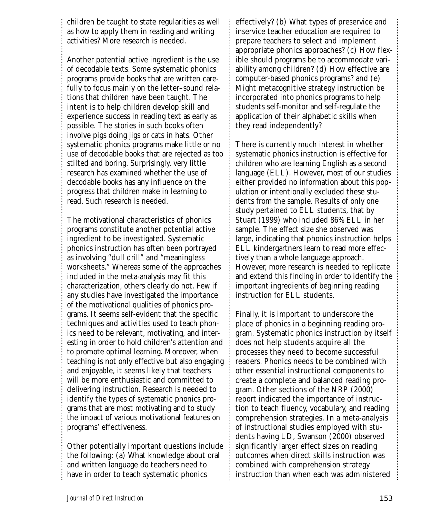children be taught to state regularities as well as how to apply them in reading and writing activities? More research is needed.

Another potential active ingredient is the use of decodable texts. Some systematic phonics programs provide books that are written carefully to focus mainly on the letter–sound relations that children have been taught. The intent is to help children develop skill and experience success in reading text as early as possible. The stories in such books often involve pigs doing jigs or cats in hats. Other systematic phonics programs make little or no use of decodable books that are rejected as too stilted and boring. Surprisingly, very little research has examined whether the use of decodable books has any influence on the progress that children make in learning to read. Such research is needed.

The motivational characteristics of phonics programs constitute another potential active ingredient to be investigated. Systematic phonics instruction has often been portrayed as involving "dull drill" and "meaningless worksheets." Whereas some of the approaches included in the meta-analysis may fit this characterization, others clearly do not. Few if any studies have investigated the importance of the motivational qualities of phonics programs. It seems self-evident that the specific techniques and activities used to teach phonics need to be relevant, motivating, and interesting in order to hold children's attention and to promote optimal learning. Moreover, when teaching is not only effective but also engaging and enjoyable, it seems likely that teachers will be more enthusiastic and committed to delivering instruction. Research is needed to identify the types of systematic phonics programs that are most motivating and to study the impact of various motivational features on programs' effectiveness.

Other potentially important questions include the following: (a) What knowledge about oral and written language do teachers need to have in order to teach systematic phonics

effectively? (b) What types of preservice and inservice teacher education are required to prepare teachers to select and implement appropriate phonics approaches? (c) How flexible should programs be to accommodate variability among children? (d) How effective are computer-based phonics programs? and (e) Might metacognitive strategy instruction be incorporated into phonics programs to help students self-monitor and self-regulate the application of their alphabetic skills when they read independently?

There is currently much interest in whether systematic phonics instruction is effective for children who are learning English as a second language (ELL). However, most of our studies either provided no information about this population or intentionally excluded these students from the sample. Results of only one study pertained to ELL students, that by Stuart (1999) who included 86% ELL in her sample. The effect size she observed was large, indicating that phonics instruction helps ELL kindergartners learn to read more effectively than a whole language approach. However, more research is needed to replicate and extend this finding in order to identify the important ingredients of beginning reading instruction for ELL students.

Finally, it is important to underscore the place of phonics in a beginning reading program. Systematic phonics instruction by itself does not help students acquire all the processes they need to become successful readers. Phonics needs to be combined with other essential instructional components to create a complete and balanced reading program. Other sections of the NRP (2000) report indicated the importance of instruction to teach fluency, vocabulary, and reading comprehension strategies. In a meta-analysis of instructional studies employed with students having LD, Swanson (2000) observed significantly larger effect sizes on reading outcomes when direct skills instruction was combined with comprehension strategy instruction than when each was administered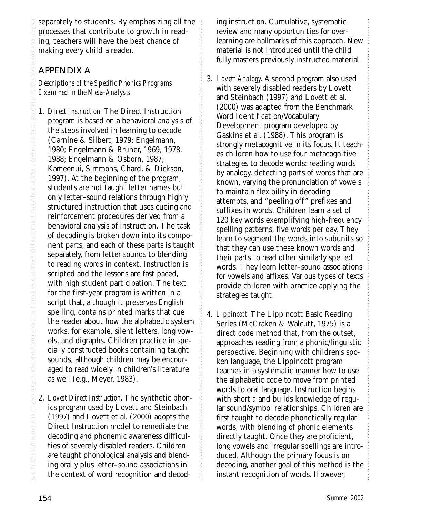separately to students. By emphasizing all the processes that contribute to growth in reading, teachers will have the best chance of making every child a reader.

### APPENDIX A

*Descriptions of the Specific Phonics Programs Examined in the Meta-Analysis*

- 1. *Direct Instruction.* The Direct Instruction program is based on a behavioral analysis of the steps involved in learning to decode (Carnine & Silbert, 1979; Engelmann, 1980; Engelmann & Bruner, 1969, 1978, 1988; Engelmann & Osborn, 1987; Kameenui, Simmons, Chard, & Dickson, 1997). At the beginning of the program, students are not taught letter names but only letter–sound relations through highly structured instruction that uses cueing and reinforcement procedures derived from a behavioral analysis of instruction. The task of decoding is broken down into its component parts, and each of these parts is taught separately, from letter sounds to blending to reading words in context. Instruction is scripted and the lessons are fast paced, with high student participation. The text for the first-year program is written in a script that, although it preserves English spelling, contains printed marks that cue the reader about how the alphabetic system works, for example, silent letters, long vowels, and digraphs. Children practice in specially constructed books containing taught sounds, although children may be encouraged to read widely in children's literature as well (e.g., Meyer, 1983).
- 2. *Lovett Direct Instruction.* The synthetic phonics program used by Lovett and Steinbach (1997) and Lovett et al. (2000) adopts the Direct Instruction model to remediate the decoding and phonemic awareness difficulties of severely disabled readers. Children are taught phonological analysis and blending orally plus letter–sound associations in the context of word recognition and decod-

ing instruction. Cumulative, systematic review and many opportunities for overlearning are hallmarks of this approach. New material is not introduced until the child fully masters previously instructed material.

- 3. *Lovett Analogy.* A second program also used with severely disabled readers by Lovett and Steinbach (1997) and Lovett et al. (2000) was adapted from the Benchmark Word Identification/Vocabulary Development program developed by Gaskins et al. (1988). This program is strongly metacognitive in its focus. It teaches children how to use four metacognitive strategies to decode words: reading words by analogy, detecting parts of words that are known, varying the pronunciation of vowels to maintain flexibility in decoding attempts, and "peeling off" prefixes and suffixes in words. Children learn a set of 120 key words exemplifying high-frequency spelling patterns, five words per day. They learn to segment the words into subunits so that they can use these known words and their parts to read other similarly spelled words. They learn letter–sound associations for vowels and affixes. Various types of texts provide children with practice applying the strategies taught.
- 4. *Lippincott.* The Lippincott Basic Reading Series (McCraken & Walcutt, 1975) is a direct code method that, from the outset, approaches reading from a phonic/linguistic perspective. Beginning with children's spoken language, the Lippincott program teaches in a systematic manner how to use the alphabetic code to move from printed words to oral language. Instruction begins with short *a* and builds knowledge of regular sound/symbol relationships. Children are first taught to decode phonetically regular words, with blending of phonic elements directly taught. Once they are proficient, long vowels and irregular spellings are introduced. Although the primary focus is on decoding, another goal of this method is the instant recognition of words. However,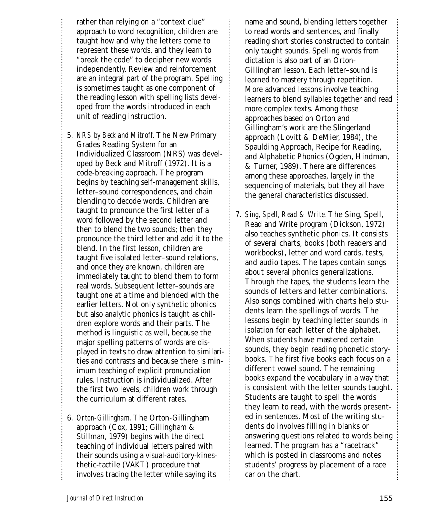rather than relying on a "context clue" approach to word recognition, children are taught how and why the letters come to represent these words, and they learn to "break the code" to decipher new words independently. Review and reinforcement are an integral part of the program. Spelling is sometimes taught as one component of the reading lesson with spelling lists developed from the words introduced in each unit of reading instruction.

- 5. *NRS by Beck and Mitroff.* The New Primary Grades Reading System for an Individualized Classroom (NRS) was developed by Beck and Mitroff (1972). It is a code-breaking approach. The program begins by teaching self-management skills, letter–sound correspondences, and chain blending to decode words. Children are taught to pronounce the first letter of a word followed by the second letter and then to blend the two sounds; then they pronounce the third letter and add it to the blend. In the first lesson, children are taught five isolated letter–sound relations, and once they are known, children are immediately taught to blend them to form real words. Subsequent letter–sounds are taught one at a time and blended with the earlier letters. Not only synthetic phonics but also analytic phonics is taught as children explore words and their parts. The method is linguistic as well, because the major spelling patterns of words are displayed in texts to draw attention to similarities and contrasts and because there is minimum teaching of explicit pronunciation rules. Instruction is individualized. After the first two levels, children work through the curriculum at different rates.
- 6. *Orton-Gillingham.* The Orton-Gillingham approach (Cox, 1991; Gillingham & Stillman, 1979) begins with the direct teaching of individual letters paired with their sounds using a visual-auditory-kinesthetic-tactile (VAKT) procedure that involves tracing the letter while saying its

name and sound, blending letters together to read words and sentences, and finally reading short stories constructed to contain only taught sounds. Spelling words from dictation is also part of an Orton-Gillingham lesson. Each letter–sound is learned to mastery through repetition. More advanced lessons involve teaching learners to blend syllables together and read more complex texts. Among those approaches based on Orton and Gillingham's work are the Slingerland approach (Lovitt & DeMier, 1984), the Spaulding Approach, Recipe for Reading, and Alphabetic Phonics (Ogden, Hindman, & Turner, 1989). There are differences among these approaches, largely in the sequencing of materials, but they all have the general characteristics discussed.

7. *Sing, Spell, Read & Write.* The Sing, Spell, Read and Write program (Dickson, 1972) also teaches synthetic phonics. It consists of several charts, books (both readers and workbooks), letter and word cards, tests, and audio tapes. The tapes contain songs about several phonics generalizations. Through the tapes, the students learn the sounds of letters and letter combinations. Also songs combined with charts help students learn the spellings of words. The lessons begin by teaching letter sounds in isolation for each letter of the alphabet. When students have mastered certain sounds, they begin reading phonetic storybooks. The first five books each focus on a different vowel sound. The remaining books expand the vocabulary in a way that is consistent with the letter sounds taught. Students are taught to spell the words they learn to read, with the words presented in sentences. Most of the writing students do involves filling in blanks or answering questions related to words being learned. The program has a "racetrack" which is posted in classrooms and notes students' progress by placement of a race car on the chart.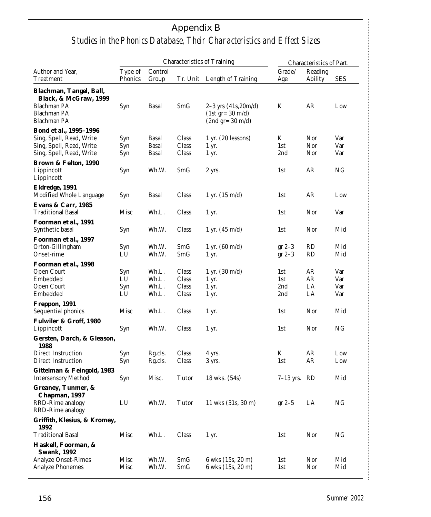### Appendix B

|                                                                                                            |                        |                                  | <b>Appendix B</b>                |                                                                                      |                          |                          |                               |
|------------------------------------------------------------------------------------------------------------|------------------------|----------------------------------|----------------------------------|--------------------------------------------------------------------------------------|--------------------------|--------------------------|-------------------------------|
|                                                                                                            |                        |                                  |                                  | Studies in the Phonics Database, Their Characteristics and Effect Sizes              |                          |                          |                               |
|                                                                                                            |                        |                                  |                                  | <b>Characteristics of Training</b>                                                   |                          | Characteristics of Part. |                               |
| Author and Year,<br>Treatment                                                                              | Type of<br>Phonics     | Control<br>Group                 |                                  | Tr. Unit Length of Training                                                          | Grade/<br>Age            | Reading<br>Ability       | SES                           |
| Blachman, Tangel, Ball,<br>Black, & McGraw, 1999<br>Blachman PA<br><b>Blachman PA</b><br>Blachman PA       | Syn                    | Basal                            | SmG                              | $2-3$ yrs $(41s, 20m/d)$<br>$(1st gr = 30 m/d)$<br>$(2nd \text{ gr}=30 \text{ m/d})$ | K                        | AR                       | Low                           |
| Bond et al., 1995-1996<br>Sing, Spell, Read, Write<br>Sing, Spell, Read, Write<br>Sing, Spell, Read, Write | Syn<br>Syn<br>Syn      | Basal<br><b>Basal</b><br>Basal   | Class<br>Class<br>Class          | $1 \, yr.$ (20 lessons)<br>1 yr.<br>1 yr.                                            | K<br>1st<br>2nd          | Nor<br>Nor<br>Nor        | Var<br>Var<br>Var             |
| Brown & Felton, 1990<br>Lippincott<br>Lippincott                                                           | Syn                    | Wh.W.                            | SmG                              | 2 yrs.                                                                               | 1st                      | AR                       | NG                            |
| Eldredge, 1991<br>Modified Whole Language                                                                  | Syn                    | Basal                            | Class                            | 1 yr. $(15 \text{ m/d})$                                                             | 1st                      | AR                       | L <sub>ow</sub>               |
| Evans & Carr, 1985<br><b>Traditional Basal</b>                                                             | Misc                   | Wh.L.                            | Class                            | 1 yr.                                                                                | 1st                      | Nor                      | Var                           |
| Foorman et al., 1991<br>Synthetic basal                                                                    | Syn                    | Wh.W.                            | Class                            | 1 yr. $(45 \text{ m/d})$                                                             | 1st                      | Nor                      | Mid                           |
| Foorman et al., 1997<br>Orton-Gillingham<br>Onset-rime                                                     | Syn<br>LU              | Wh.W.<br>Wh.W.                   | SmG<br>SmG                       | 1 yr. $(60 \text{ m/d})$<br>1 yr.                                                    | $gr 2-3$<br>gr 2–3       | RD<br>RD                 | Mid<br>Mid                    |
| Foorman et al., 1998<br>Open Court<br>Embedded<br>Open Court<br>Embedded                                   | Syn<br>LU<br>Syn<br>LU | Wh.L.<br>Wh.L.<br>Wh.L.<br>Wh.L. | Class<br>Class<br>Class<br>Class | 1 yr. $(30 \text{ m/d})$<br>1 yr.<br>1 yr.<br>1 yr.                                  | 1st<br>1st<br>2nd<br>2nd | AR<br>AR<br>LA<br>LA     | Var<br>Var<br>Var<br>Var      |
| Freppon, 1991<br>Sequential phonics                                                                        | Misc                   | Wh.L.                            | Class                            | 1 yr.                                                                                | 1st                      | Nor                      | Mid                           |
| Fulwiler & Groff, 1980<br>Lippincott<br>Gersten, Darch, & Gleason,                                         | Syn                    | Wh.W.                            | Class                            | 1 yr.                                                                                | 1st                      | Nor                      | NG                            |
| 1988<br>Direct Instruction<br>Direct Instruction                                                           | Syn<br>Syn             | Rg.cls.<br>Rg.cls.               | Class<br>Class                   | 4 yrs.<br>3 yrs.                                                                     | K<br>1st                 | AR<br>AR                 | Low<br>Low                    |
| Gittelman & Feingold, 1983<br><b>Intersensory Method</b>                                                   | Syn                    | Misc.                            | Tutor                            | 18 wks. (54s)                                                                        | $7-13$ yrs. $RD$         |                          | $\operatorname{\mathsf{Mid}}$ |
| Greaney, Tunmer, &<br>Chapman, 1997<br>RRD-Rime analogy<br>RRD-Rime analogy                                | LU                     | Wh.W.                            | Tutor                            | 11 wks (31s, 30 m)                                                                   | gr 2–5                   | LA                       | NG                            |
| Griffith, Klesius, & Kromey,<br>1992<br><b>Traditional Basal</b>                                           | Misc                   | Wh.L.                            | Class                            | 1 yr.                                                                                | 1st                      | Nor                      | NG                            |
| Haskell, Foorman, &<br>Swank, 1992<br><b>Analyze Onset-Rimes</b><br><b>Analyze Phonemes</b>                | Misc<br>Misc           | Wh.W.<br>Wh.W.                   | SmG<br>SmG                       | 6 wks (15s, 20 m)<br>6 wks (15s, 20 m)                                               | 1st<br>1st               | Nor<br>Nor               | Mid<br>Mid                    |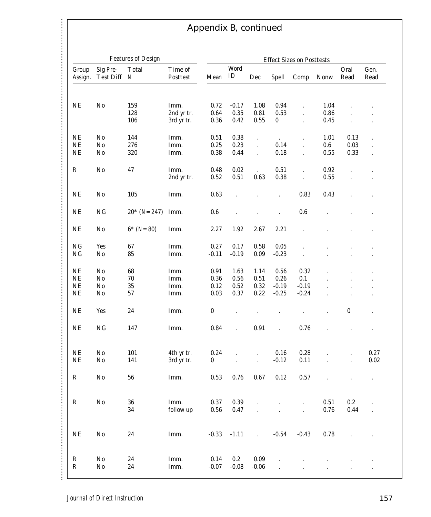### Appendix B, continued

|                  |                       | <b>Features of Design</b> |                          |              |              |                      |                      | <b>Effect Sizes on Posttests</b>             |      |              |                      |  |
|------------------|-----------------------|---------------------------|--------------------------|--------------|--------------|----------------------|----------------------|----------------------------------------------|------|--------------|----------------------|--|
| Group<br>Assign. | Sig Pre-<br>Test Diff | Total<br>$\mathcal N$     | Time of<br>Posttest      | Mean         | Word<br>ID   | Dec                  | Spell                | Comp                                         | Nonw | Oral<br>Read | Gen.<br>Read         |  |
|                  |                       |                           |                          |              |              |                      |                      |                                              |      |              |                      |  |
| NE               | No                    | 159                       | Imm.                     | 0.72         | $-0.17$      | 1.08                 | 0.94                 |                                              | 1.04 |              |                      |  |
|                  |                       | 128<br>106                | 2nd yr tr.<br>3rd yr tr. | 0.64<br>0.36 | 0.35<br>0.42 | 0.81<br>0.55         | 0.53<br>0            | $\overline{a}$                               | 0.86 |              |                      |  |
|                  |                       |                           |                          |              |              |                      |                      | $\ddot{\phantom{0}}$                         | 0.45 |              |                      |  |
| NE               | No                    | 144                       | Imm.                     | 0.51         | 0.38         |                      |                      |                                              | 1.01 | 0.13         |                      |  |
| <b>NE</b>        | No                    | 276                       | Imm.                     | 0.25         | 0.23         | $\ddot{\phantom{a}}$ | 0.14                 |                                              | 0.6  | 0.03         |                      |  |
| <b>NE</b>        | No                    | 320                       | Imm.                     | 0.38         | 0.44         | $\ddot{\phantom{0}}$ | 0.18                 | $\overline{a}$                               | 0.55 | 0.33         |                      |  |
| ${\bf R}$        | No                    | 47                        | Imm.                     | 0.48         | 0.02         |                      | 0.51                 |                                              | 0.92 |              |                      |  |
|                  |                       |                           | 2nd yr tr.               | 0.52         | 0.51         | 0.63                 | 0.38                 | $\overline{a}$                               | 0.55 |              |                      |  |
|                  |                       |                           |                          |              |              |                      |                      |                                              |      |              |                      |  |
| NE               | $\rm No$              | 105                       | Imm.                     | 0.63         |              |                      |                      | 0.83                                         | 0.43 |              |                      |  |
| NE               | $\rm NG$              | $20^*$ ( $N=247$ ) Imm.   |                          | 0.6          |              |                      |                      | 0.6                                          |      |              |                      |  |
| $\rm NE$         | $\rm No$              | $6*(N=80)$                | Imm.                     | 2.27         | 1.92         | 2.67                 | 2.21                 |                                              |      |              |                      |  |
| NG               | Yes                   | 67                        | Imm.                     | 0.27         | 0.17         | 0.58                 | 0.05                 |                                              |      |              |                      |  |
| $\rm NG$         | No                    | 85                        | Imm.                     | $-0.11$      | $-0.19$      | 0.09                 | $-0.23$              |                                              |      |              |                      |  |
|                  |                       |                           |                          |              |              |                      |                      |                                              |      |              |                      |  |
| NE<br><b>NE</b>  | No                    | 68                        | Imm.                     | 0.91         | 1.63         | 1.14                 | 0.56                 | 0.32                                         |      |              |                      |  |
| <b>NE</b>        | No<br>No              | 70<br>35                  | Imm.<br>Imm.             | 0.36<br>0.12 | 0.56<br>0.52 | 0.51<br>0.32         | 0.26<br>$-0.19$      | 0.1<br>$-0.19$                               |      |              |                      |  |
| $\rm NE$         | No                    | 57                        | Imm.                     | 0.03         | 0.37         | 0.22                 | $-0.25$              | $-0.24$                                      |      |              |                      |  |
|                  |                       |                           |                          |              |              |                      |                      |                                              |      |              |                      |  |
| NE               | Yes                   | 24                        | Imm.                     | $\bf{0}$     |              |                      |                      |                                              |      | 0            |                      |  |
| NE               | NG                    | 147                       | Imm.                     | 0.84         |              | 0.91                 |                      | 0.76                                         |      |              |                      |  |
| NE               | No                    | 101                       | 4th yr tr.               | 0.24         |              |                      | 0.16                 | 0.28                                         |      |              | 0.27                 |  |
| NE               | No                    | 141                       | 3rd yr tr.               | 0            |              | $\ddot{\phantom{0}}$ | $-0.12$              | 0.11                                         |      |              | $0.02\,$             |  |
| ${\bf R}$        | $\rm No$              | ${\bf 56}$                | Imm.                     | $\rm 0.53$   | $0.76\,$     | 0.67                 | 0.12                 | 0.57                                         |      |              |                      |  |
| ${\bf R}$        | $\rm No$              | 36                        | Imm.                     | 0.37         | 0.39         |                      |                      |                                              | 0.51 | $0.2\,$      |                      |  |
|                  |                       | 34                        | follow up                | 0.56         | 0.47         |                      | $\ddot{\phantom{0}}$ | $\ddot{\phantom{0}}$<br>$\ddot{\phantom{a}}$ | 0.76 | 0.44         | $\ddot{\phantom{a}}$ |  |
| $\rm NE$         | No                    | 24                        | Imm.                     | $-0.33$      | $-1.11$      | $\sim$               | $-0.54$              | $-0.43$                                      | 0.78 |              |                      |  |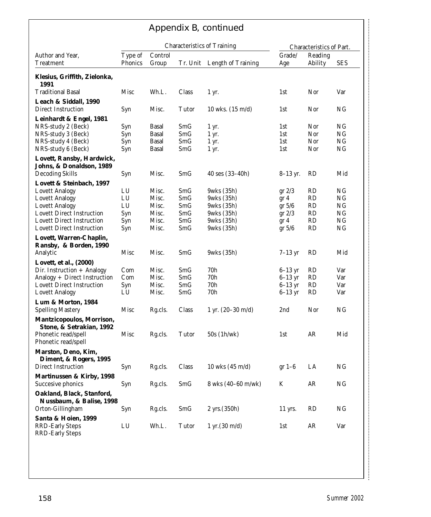|                                                                          |                    |                  |            | Appendix B, continued              |                        |                          |            |
|--------------------------------------------------------------------------|--------------------|------------------|------------|------------------------------------|------------------------|--------------------------|------------|
|                                                                          |                    |                  |            | <b>Characteristics of Training</b> |                        | Characteristics of Part. |            |
| Author and Year,<br>Treatment                                            | Type of<br>Phonics | Control<br>Group |            | Tr. Unit Length of Training        | Grade/<br>Age          | Reading<br>Ability       | SES        |
| Klesius, Griffith, Zielonka,<br>1991                                     |                    |                  |            |                                    |                        |                          |            |
| <b>Traditional Basal</b>                                                 | Misc               | Wh.L.            | Class      | 1 yr.                              | 1st                    | Nor                      | Var        |
| Leach & Siddall, 1990<br>Direct Instruction                              | Syn                | Misc.            | Tutor      | 10 wks. $(15 \text{ m/d})$         | 1st                    | Nor                      | NG         |
| Leinhardt & Engel, 1981                                                  |                    |                  |            |                                    |                        |                          |            |
| NRS-study 2 (Beck)                                                       | Syn                | Basal<br>Basal   | SmG<br>SmG | 1 yr.                              | 1st                    | Nor<br>Nor               | NG.<br>NG  |
| NRS-study 3 (Beck)<br>NRS-study 4 (Beck)                                 | Syn<br>Syn         | Basal            | SmG        | 1 yr.<br>1 yr.                     | 1st<br>1st             | Nor                      | NG         |
| NRS-study 6 (Beck)                                                       | Syn                | Basal            | SmG        | 1 yr.                              | 1st                    | Nor                      | NG         |
|                                                                          |                    |                  |            |                                    |                        |                          |            |
| Lovett, Ransby, Hardwick,<br>Johns, & Donaldson, 1989<br>Decoding Skills | Syn                | Misc.            | SmG        | $40$ ses $(33-40h)$                | $8-13$ yr.             | RD                       | Mid        |
| Lovett & Steinbach, 1997                                                 |                    |                  |            |                                    |                        |                          |            |
| <b>Lovett Analogy</b>                                                    | LU                 | Misc.            | SmG        | 9wks (35h)                         | gr 2/3                 | RD                       | NG         |
| <b>Lovett Analogy</b>                                                    | LU                 | Misc.            | SmG        | 9wks (35h)                         | gr 4                   | RD                       | NG         |
| <b>Lovett Analogy</b>                                                    | LU                 | Misc.            | SmG        | 9wks (35h)                         | gr 5/6                 | RD                       | NG         |
| <b>Lovett Direct Instruction</b>                                         | Syn                | Misc.            | SmG        | 9wks (35h)                         | gr 2/3                 | RD                       | NG         |
| <b>Lovett Direct Instruction</b>                                         | Syn                | Misc.            | SmG        | 9wks (35h)                         | gr 4                   | RD                       | NG         |
| <b>Lovett Direct Instruction</b>                                         | Syn                | Misc.            | SmG        | 9wks (35h)                         | gr 5/6                 | RD                       | NG         |
| Lovett, Warren-Chaplin,<br>Ransby, & Borden, 1990                        |                    |                  |            |                                    |                        |                          |            |
| Analytic                                                                 | Misc               | Misc.            | SmG        | 9wks (35h)                         | $7-13$ yr              | RD                       | Mid        |
| Lovett, et al., (2000)                                                   |                    |                  |            |                                    |                        |                          |            |
| Dir. Instruction + Analogy                                               | Com                | Misc.            | SmG        | 70h<br>70h                         | $6-13$ yr              | RD                       | Var        |
| Analogy + Direct Instruction<br><b>Lovett Direct Instruction</b>         | Com<br>Syn         | Misc.<br>Misc.   | SmG<br>SmG | 70h                                | $6-13$ yr<br>$6-13$ yr | RD<br>RD                 | Var<br>Var |
| <b>Lovett Analogy</b>                                                    | LU                 | Misc.            | SmG        | 70h                                | $6-13$ yr              | RD                       | Var        |
|                                                                          |                    |                  |            |                                    |                        |                          |            |
| Lum & Morton, 1984<br><b>Spelling Mastery</b>                            | Misc               | Rg.cls.          | Class      | 1 yr. $(20-30 \text{ m/d})$        | 2nd                    | Nor                      | NG         |
| Mantzicopoulos, Morrison,<br>Stone, & Setrakian, 1992                    |                    |                  |            |                                    |                        |                          |            |
| Phonetic read/spell<br>Phonetic read/spell                               | Misc               | Rg.cls.          | Tutor      | $50s$ (1h/wk)                      | 1st                    | AR                       | Mid        |
| Marston, Deno, Kim,<br>Diment, & Rogers, 1995                            |                    |                  |            |                                    |                        |                          |            |
| Direct Instruction                                                       | Syn                | Rg.cls.          | Class      | 10 wks $(45 \text{ m/d})$          | $gr 1-6$               | LA                       | NG         |
| Martinussen & Kirby, 1998<br>Succesive phonics                           | Syn                | Rg.cls.          | SmG        | 8 wks (40-60 m/wk)                 | K                      | AR                       | NG         |
| Oakland, Black, Stanford,<br>Nussbaum, & Balise, 1998                    |                    |                  |            |                                    |                        |                          |            |
| Orton-Gillingham                                                         | Syn                | Rg.cls.          | SmG        | 2 yrs. (350h)                      | 11 yrs.                | <b>RD</b>                | NG         |
| Santa & Hoien, 1999<br><b>RRD-Early Steps</b><br><b>RRD-Early Steps</b>  | LU                 | Wh.L.            | Tutor      | $1 \text{ yr.} (30 \text{ m/d})$   | 1st                    | AR                       | Var        |
|                                                                          |                    |                  |            |                                    |                        |                          |            |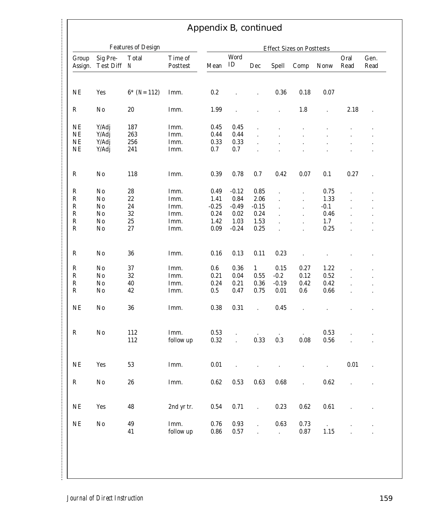| Group       | Sig Pre-          | <b>Features of Design</b><br>Total | Time of    |            | Word       |                      |                      | <b>Effect Sizes on Posttests</b> |                      | Oral | Gen. |
|-------------|-------------------|------------------------------------|------------|------------|------------|----------------------|----------------------|----------------------------------|----------------------|------|------|
|             | Assign. Test Diff | N                                  | Posttest   | Mean       | ID         | Dec                  | Spell                | Comp                             | Nonw                 | Read | Read |
| NE          | Yes               | $6*$ ( $N=112$ )                   | Imm.       | 0.2        |            |                      | 0.36                 | 0.18                             | 0.07                 |      |      |
| R           | No                | 20                                 | Imm.       | 1.99       |            |                      |                      | 1.8                              |                      | 2.18 |      |
| $\rm NE$    | Y/Adj             | 187                                | Imm.       | 0.45       | 0.45       |                      |                      |                                  |                      |      |      |
| $\rm NE$    | Y/Adj             | 263                                | Imm.       | 0.44       | 0.44       |                      |                      |                                  |                      |      |      |
| NE          | Y/Adj             | 256                                | Imm.       | 0.33       | 0.33       |                      |                      |                                  |                      |      |      |
| $\rm NE$    | Y/Adj             | 241                                | Imm.       | 0.7        | 0.7        |                      |                      |                                  |                      |      |      |
| R           | $\rm No$          | 118                                | Imm.       | 0.39       | 0.78       | 0.7                  | 0.42                 | 0.07                             | 0.1                  | 0.27 |      |
| R           | No                | 28                                 | Imm.       | 0.49       | $-0.12$    | 0.85                 |                      |                                  | 0.75                 |      |      |
| $\mathbb R$ | No                | 22                                 | Imm.       | 1.41       | 0.84       | 2.06                 |                      |                                  | 1.33                 |      |      |
| R           | No                | 24                                 | Imm.       | $-0.25$    | -0.49      | $-0.15$              | $\overline{a}$       | $\ddot{\phantom{0}}$             | $-0.1$               |      |      |
| R           | No                | 32                                 | Imm.       | 0.24       | 0.02       | 0.24                 | $\overline{a}$       |                                  | 0.46                 |      |      |
| ${\bf R}$   | No                | $25\,$                             | Imm.       | 1.42       | 1.03       | 1.53                 |                      |                                  | 1.7                  |      |      |
| ${\bf R}$   | No                | 27                                 | Imm.       | 0.09       | $-0.24$    | 0.25                 |                      |                                  | 0.25                 |      |      |
| R           | No                | 36                                 | Imm.       | 0.16       | 0.13       | 0.11                 | 0.23                 |                                  |                      |      |      |
| R           | No                | 37                                 | Imm.       | 0.6        | 0.36       | $\mathbf{1}$         | 0.15                 | 0.27                             | 1.22                 |      |      |
| R           | No                | 32                                 | Imm.       | 0.21       | 0.04       | 0.55                 | $-0.2$               | 0.12                             | 0.52                 |      |      |
| R           | No                | 40                                 | Imm.       | 0.24       | 0.21       | 0.36                 | $-0.19$              | 0.42                             | 0.42                 |      |      |
| R           | No                | 42                                 | Imm.       | $0.5\,$    | 0.47       | 0.75                 | 0.01                 | 0.6                              | 0.66                 |      |      |
| NE          | $\rm No$          | 36                                 | Imm.       | 0.38       | 0.31       | $\ddot{\phantom{a}}$ | 0.45                 |                                  |                      |      |      |
| R           | No                | 112                                | Imm.       | 0.53       |            |                      |                      |                                  | 0.53                 |      |      |
|             |                   | 112                                | follow up  | 0.32       |            | 0.33                 | 0.3                  | 0.08                             | 0.56                 |      |      |
| NE          | Yes               | 53                                 | Imm.       | 0.01       |            |                      |                      |                                  |                      | 0.01 |      |
| $\mathbb R$ | $\rm No$          | 26                                 | Imm.       | 0.62       | 0.53       | 0.63                 | 0.68                 | $\ddot{\phantom{a}}$             | 0.62                 |      |      |
| $\rm NE$    | Yes               | $\bf 48$                           | 2nd yr tr. | 0.54       | 0.71       | $\ddot{\phantom{a}}$ | 0.23                 | $\,0.62\,$                       | $0.61\,$             |      |      |
| $\rm NE$    | $\rm No$          | 49                                 | Imm.       | $0.76\,$   | $\rm 0.93$ | $\ddot{\phantom{0}}$ | 0.63                 | 0.73                             | $\ddot{\phantom{0}}$ |      |      |
|             |                   | 41                                 | follow up  | $\bf 0.86$ | $0.57\,$   | $\cdot$              | $\ddot{\phantom{0}}$ | $0.87\,$                         | $1.15\,$             |      |      |
|             |                   |                                    |            |            |            |                      |                      |                                  |                      |      |      |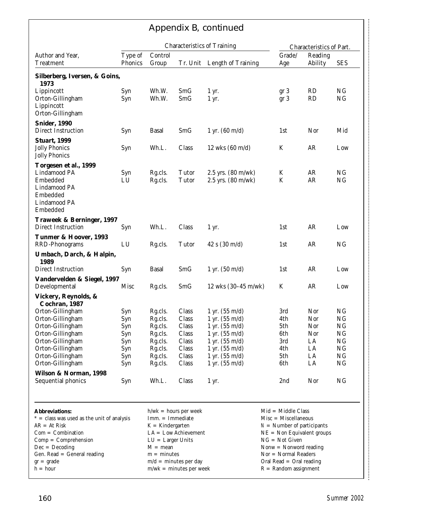|                                                                                                                                                                                                                      |                                 | Appendix B, continued                                                                                                                                                                                         |                                           |                                                                                                                                                                  |                                                                                                                                                                                                                                                   |                                |                            |  |  |  |
|----------------------------------------------------------------------------------------------------------------------------------------------------------------------------------------------------------------------|---------------------------------|---------------------------------------------------------------------------------------------------------------------------------------------------------------------------------------------------------------|-------------------------------------------|------------------------------------------------------------------------------------------------------------------------------------------------------------------|---------------------------------------------------------------------------------------------------------------------------------------------------------------------------------------------------------------------------------------------------|--------------------------------|----------------------------|--|--|--|
|                                                                                                                                                                                                                      |                                 |                                                                                                                                                                                                               |                                           | <b>Characteristics of Training</b>                                                                                                                               |                                                                                                                                                                                                                                                   | Characteristics of Part.       |                            |  |  |  |
| Author and Year.<br>Treatment                                                                                                                                                                                        | Type of<br>Phonics              | Control<br>Group                                                                                                                                                                                              |                                           | Tr. Unit Length of Training                                                                                                                                      | Grade/<br>Age                                                                                                                                                                                                                                     | Reading<br>Ability             | SES                        |  |  |  |
| Silberberg, Iversen, & Goins,<br>1973                                                                                                                                                                                |                                 |                                                                                                                                                                                                               |                                           |                                                                                                                                                                  |                                                                                                                                                                                                                                                   |                                |                            |  |  |  |
| Lippincott<br>Orton-Gillingham<br>Lippincott<br>Orton-Gillingham                                                                                                                                                     | Syn<br>Syn                      | Wh.W.<br>Wh.W.                                                                                                                                                                                                | SmG<br>SmG                                | 1 yr.<br>1 yr.                                                                                                                                                   | gr <sub>3</sub><br>gr 3                                                                                                                                                                                                                           | RD<br>RD                       | NG<br>NG                   |  |  |  |
| Snider, 1990<br><b>Direct Instruction</b>                                                                                                                                                                            | Syn                             | Basal                                                                                                                                                                                                         | SmG                                       | $1 \text{ yr.} (60 \text{ m/d})$                                                                                                                                 | 1st                                                                                                                                                                                                                                               | Nor                            | Mid                        |  |  |  |
| <b>Stuart, 1999</b><br><b>Jolly Phonics</b><br><b>Jolly Phonics</b>                                                                                                                                                  | Syn                             | Wh.L.                                                                                                                                                                                                         | Class                                     | $12$ wks $(60 \text{ m/d})$                                                                                                                                      | K                                                                                                                                                                                                                                                 | AR                             | Low                        |  |  |  |
| Torgesen et al., 1999<br>Lindamood PA<br>Embedded<br>Lindamood PA<br>Embedded<br>Lindamood PA<br>Embedded                                                                                                            | Syn<br>LU                       | Rg.cls.<br>Rg.cls.                                                                                                                                                                                            | Tutor<br>Tutor                            | $2.5$ yrs. $(80 \text{ m/wk})$<br>$2.5$ yrs. $(80 \text{ m/wk})$                                                                                                 | K<br>K                                                                                                                                                                                                                                            | AR<br>AR                       | NG<br>NG                   |  |  |  |
| Traweek & Berninger, 1997<br><b>Direct Instruction</b>                                                                                                                                                               | Syn                             | Wh.L.                                                                                                                                                                                                         | Class                                     | 1 yr.                                                                                                                                                            | 1st                                                                                                                                                                                                                                               | AR                             | Low                        |  |  |  |
| Tunmer & Hoover, 1993<br>RRD-Phonograms<br>Umbach, Darch, & Halpin,                                                                                                                                                  | LU                              | Rg.cls.                                                                                                                                                                                                       | Tutor                                     | 42 s (30 m/d)                                                                                                                                                    | 1st                                                                                                                                                                                                                                               | AR                             | NG                         |  |  |  |
| 1989<br>Direct Instruction                                                                                                                                                                                           | Syn                             | Basal                                                                                                                                                                                                         | SmG                                       | 1 yr. $(50 \text{ m/d})$                                                                                                                                         | 1st                                                                                                                                                                                                                                               | AR                             | Low                        |  |  |  |
| Vandervelden & Siegel, 1997<br>Developmental                                                                                                                                                                         | Misc                            | Rg.cls.                                                                                                                                                                                                       | SmG                                       | $12$ wks $(30-45 \text{ m/wk})$                                                                                                                                  | K                                                                                                                                                                                                                                                 | AR                             | Low                        |  |  |  |
| Vickery, Reynolds, &<br>Cochran, 1987                                                                                                                                                                                |                                 |                                                                                                                                                                                                               |                                           |                                                                                                                                                                  |                                                                                                                                                                                                                                                   |                                |                            |  |  |  |
| Orton-Gillingham<br>Orton-Gillingham<br>Orton-Gillingham<br>Orton-Gillingham<br>Orton-Gillingham                                                                                                                     | Syn<br>Syn<br>Syn<br>Syn<br>Syn | Rg.cls.<br>Rg.cls.<br>Rg.cls.<br>Rg.cls.<br>Rg.cls.                                                                                                                                                           | Class<br>Class<br>Class<br>Class<br>Class | $1 \text{ yr.} (55 \text{ m/d})$<br>1 yr. $(55 \text{ m/d})$<br>$1 \text{ yr.} (55 \text{ m/d})$<br>1 yr. $(55 \text{ m/d})$<br>$1 \text{ yr.} (55 \text{ m/d})$ | 3rd<br>4th<br>5th<br>6th<br>3rd                                                                                                                                                                                                                   | Nor<br>Nor<br>Nor<br>Nor<br>LA | NG<br>NG<br>NG<br>NG<br>NG |  |  |  |
| Orton-Gillingham<br>Orton-Gillingham<br>Orton-Gillingham                                                                                                                                                             | Syn<br>Syn<br>Syn               | Rg.cls.<br>Rg.cls.<br>Rg.cls.                                                                                                                                                                                 | Class<br>Class<br>Class                   | 1 yr. $(55 \text{ m/d})$<br>$1 \text{ yr.} (55 \text{ m/d})$<br>$1 \text{ yr.} (55 \text{ m/d})$                                                                 | 4th<br>5th<br>6th                                                                                                                                                                                                                                 | LA<br>LA<br>LA                 | NG<br>NG<br>NG             |  |  |  |
| Wilson & Norman, 1998<br>Sequential phonics                                                                                                                                                                          | >yn                             | Wh.L.                                                                                                                                                                                                         | Class                                     | 1 yr.                                                                                                                                                            | 2nd                                                                                                                                                                                                                                               | Nor                            | NG                         |  |  |  |
| Abbreviations:<br>$*$ = class was used as the unit of analysis<br>$AR = At Risk$<br>$Com = Combination$<br>$Comp = Comprehension$<br>$Dec = Decoding$<br>Gen. Read $=$ General reading<br>$gr = grade$<br>$h = hour$ |                                 | $h/wk = hours per week$<br>$Imm. = Immediately$<br>$K =$ Kindergarten<br>$LA = Low$ Achievement<br>$LU = Larger Units$<br>$M = mean$<br>$m =$ minutes<br>$m/d =$ minutes per day<br>$m/wk =$ minutes per week |                                           |                                                                                                                                                                  | $Mid = Middle Class$<br>$Misc = Miscellaneous$<br>$N =$ Number of participants<br>$NE =$ Non Equivalent groups<br>$NG = Not Given$<br>Nonw $=$ Nonword reading<br>$Nor = Normal Readers$<br>Oral Read $=$ Oral reading<br>$R =$ Random assignment |                                |                            |  |  |  |

j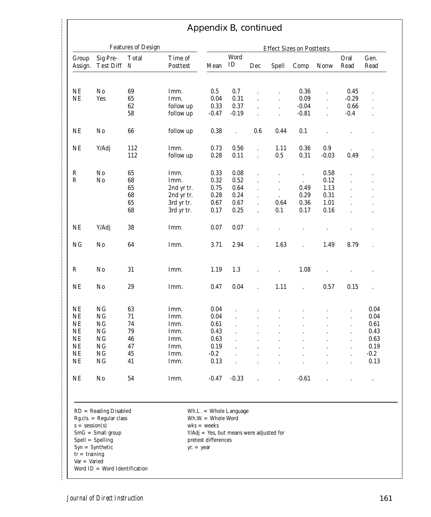|                              | <b>Features of Design</b>                                    |                                                                 |                                                                                                           |                                                                                                           |                                                                     |                      | <b>Effect Sizes on Posttests</b>             |                                                      |                                                                                           |                                               |
|------------------------------|--------------------------------------------------------------|-----------------------------------------------------------------|-----------------------------------------------------------------------------------------------------------|-----------------------------------------------------------------------------------------------------------|---------------------------------------------------------------------|----------------------|----------------------------------------------|------------------------------------------------------|-------------------------------------------------------------------------------------------|-----------------------------------------------|
| Sig Pre-<br><b>Test Diff</b> | Total<br>N                                                   | Time of<br>Posttest                                             | Mean                                                                                                      | Word<br>ID                                                                                                | Dec                                                                 | Spell                | Comp                                         | Nonw                                                 | Oral<br>Read                                                                              | Gen.<br>Read                                  |
|                              |                                                              |                                                                 |                                                                                                           |                                                                                                           |                                                                     |                      |                                              |                                                      |                                                                                           |                                               |
|                              |                                                              | Imm.                                                            |                                                                                                           |                                                                                                           |                                                                     | $\overline{a}$       |                                              |                                                      |                                                                                           | $\ddot{\phantom{0}}$                          |
|                              | 62                                                           | follow up                                                       |                                                                                                           | 0.37                                                                                                      | $\ddot{\phantom{0}}$                                                | $\cdot$              | $-0.04$                                      | $\ddot{\phantom{0}}$                                 | 0.66                                                                                      | $\ddot{\phantom{0}}$                          |
|                              | 58                                                           | follow up                                                       | -0.47                                                                                                     | $-0.19$                                                                                                   |                                                                     | $\overline{a}$       | $-0.81$                                      | $\ddot{\phantom{0}}$                                 | $-0.4$                                                                                    | $\ddot{\phantom{a}}$                          |
| $\rm No$                     | 66                                                           | follow up                                                       | 0.38                                                                                                      | $\ddot{\phantom{a}}$                                                                                      | 0.6                                                                 | 0.44                 | 0.1                                          |                                                      |                                                                                           |                                               |
| Y/Adj                        | 112                                                          | Imm.                                                            | 0.73                                                                                                      | 0.56                                                                                                      |                                                                     | 1.11                 | 0.36                                         | 0.9                                                  |                                                                                           |                                               |
|                              |                                                              |                                                                 |                                                                                                           |                                                                                                           | $\ddot{\phantom{0}}$                                                |                      |                                              |                                                      |                                                                                           |                                               |
| N <sub>0</sub>               | 65                                                           | Imm.                                                            | 0.33                                                                                                      | 0.08                                                                                                      |                                                                     | $\ddot{\phantom{0}}$ | $\ddot{\phantom{a}}$                         | 0.58                                                 |                                                                                           |                                               |
|                              |                                                              |                                                                 |                                                                                                           |                                                                                                           | $\overline{a}$                                                      | $\ddot{\phantom{a}}$ | $\ddot{\phantom{0}}$                         |                                                      |                                                                                           |                                               |
|                              |                                                              |                                                                 |                                                                                                           |                                                                                                           | $\ddot{\phantom{0}}$                                                |                      |                                              |                                                      | $\cdot$                                                                                   |                                               |
|                              |                                                              |                                                                 |                                                                                                           |                                                                                                           |                                                                     |                      |                                              |                                                      |                                                                                           |                                               |
|                              |                                                              |                                                                 |                                                                                                           |                                                                                                           |                                                                     |                      |                                              |                                                      |                                                                                           |                                               |
|                              |                                                              |                                                                 |                                                                                                           |                                                                                                           |                                                                     |                      |                                              |                                                      |                                                                                           |                                               |
|                              |                                                              |                                                                 |                                                                                                           |                                                                                                           |                                                                     |                      |                                              |                                                      |                                                                                           |                                               |
| N <sub>0</sub>               | 64                                                           | Imm.                                                            | 3.71                                                                                                      | 2.94                                                                                                      |                                                                     | 1.63                 | $\overline{a}$                               | 1.49                                                 | 8.79                                                                                      |                                               |
| N <sub>0</sub>               | 31                                                           | Imm.                                                            | 1.19                                                                                                      | 1.3                                                                                                       |                                                                     | $\cdot$              | 1.08                                         |                                                      |                                                                                           |                                               |
| N <sub>0</sub>               | 29                                                           | Imm.                                                            | 0.47                                                                                                      | 0.04                                                                                                      |                                                                     | 1.11                 | $\overline{a}$                               | 0.57                                                 | 0.15                                                                                      |                                               |
|                              |                                                              |                                                                 |                                                                                                           |                                                                                                           |                                                                     |                      |                                              |                                                      |                                                                                           | 0.04                                          |
|                              | 71                                                           | Imm.                                                            | 0.04                                                                                                      |                                                                                                           |                                                                     |                      |                                              |                                                      |                                                                                           | 0.04                                          |
| NG                           | 74                                                           | Imm.                                                            | 0.61                                                                                                      |                                                                                                           |                                                                     |                      |                                              |                                                      | $\ddot{\phantom{0}}$                                                                      | 0.61                                          |
| NG                           | 79                                                           | Imm.                                                            | 0.43                                                                                                      | ï                                                                                                         | $\cdot$                                                             |                      |                                              | ï                                                    | $\ddot{\phantom{0}}$                                                                      | 0.43                                          |
| NG                           | 46                                                           | Imm.                                                            | 0.63                                                                                                      |                                                                                                           |                                                                     |                      |                                              |                                                      | $\ddot{\phantom{0}}$                                                                      | 0.63                                          |
| NG                           | 47                                                           | Imm.                                                            |                                                                                                           |                                                                                                           |                                                                     |                      |                                              |                                                      | $\cdot$                                                                                   | 0.19                                          |
|                              |                                                              |                                                                 |                                                                                                           |                                                                                                           |                                                                     |                      |                                              |                                                      | $\ddot{\phantom{0}}$                                                                      | $-0.2$                                        |
| NG                           | 41                                                           | Imm.                                                            | 0.13                                                                                                      | ï                                                                                                         |                                                                     |                      |                                              |                                                      | $\ddot{\phantom{0}}$                                                                      | 0.13                                          |
|                              |                                                              |                                                                 |                                                                                                           |                                                                                                           |                                                                     |                      |                                              |                                                      |                                                                                           |                                               |
|                              | $\rm No$<br>Yes<br>$\rm No$<br>Y/Adj<br>NG<br>$\rm NG$<br>NG | 69<br>65<br>112<br>68<br>65<br>68<br>65<br>68<br>38<br>63<br>45 | Imm.<br>follow up<br>Imm.<br>2nd yr tr.<br>2nd yr tr.<br>3rd yr tr.<br>3rd yr tr.<br>Imm.<br>Imm.<br>Imm. | $0.5\,$<br>0.04<br>0.33<br>0.28<br>0.32<br>0.75<br>0.28<br>0.67<br>0.17<br>0.07<br>0.04<br>0.19<br>$-0.2$ | 0.7<br>0.31<br>0.11<br>0.52<br>0.64<br>0.24<br>0.67<br>0.25<br>0.07 | $\ddot{\phantom{0}}$ | $0.5\,$<br>$\cdot$<br>$\cdot$<br>0.64<br>0.1 | 0.36<br>0.09<br>0.31<br>0.49<br>0.29<br>0.36<br>0.17 | $\overline{a}$<br>$\ddot{\phantom{0}}$<br>$-0.03$<br>0.12<br>1.13<br>0.31<br>1.01<br>0.16 | 0.45<br>$-0.29$<br>0.49<br>$\cdot$<br>$\cdot$ |

Г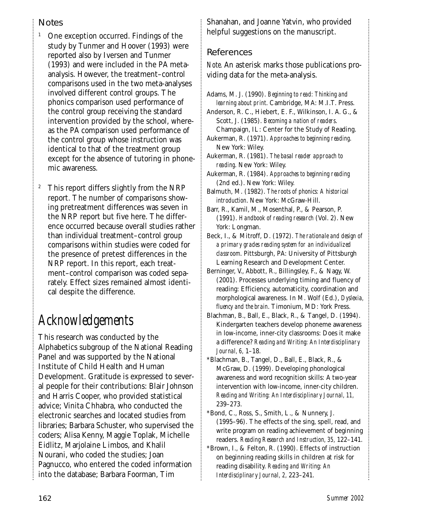### Notes

- <sup>1</sup> One exception occurred. Findings of the study by Tunmer and Hoover (1993) were reported also by Iversen and Tunmer (1993) and were included in the PA metaanalysis. However, the treatment–control comparisons used in the two meta-analyses involved different control groups. The phonics comparison used performance of the control group receiving the standard intervention provided by the school, whereas the PA comparison used performance of the control group whose instruction was identical to that of the treatment group except for the absence of tutoring in phonemic awareness.
- <sup>2</sup> This report differs slightly from the NRP report. The number of comparisons showing pretreatment differences was seven in the NRP report but five here. The difference occurred because overall studies rather than individual treatment–control group comparisons within studies were coded for the presence of pretest differences in the NRP report. In this report, each treatment–control comparison was coded separately. Effect sizes remained almost identical despite the difference.

# *Acknowledgements*

This research was conducted by the Alphabetics subgroup of the National Reading Panel and was supported by the National Institute of Child Health and Human Development. Gratitude is expressed to several people for their contributions: Blair Johnson and Harris Cooper, who provided statistical advice; Vinita Chhabra, who conducted the electronic searches and located studies from libraries; Barbara Schuster, who supervised the coders; Alisa Kenny, Maggie Toplak, Michelle Eidlitz, Marjolaine Limbos, and Khalil Nourani, who coded the studies; Joan Pagnucco, who entered the coded information into the database; Barbara Foorman, Tim

Shanahan, and Joanne Yatvin, who provided helpful suggestions on the manuscript.

#### References

*Note.* An asterisk marks those publications providing data for the meta-analysis.

- Adams, M. J. (1990). *Beginning to read: Thinking and learning about print*. Cambridge, MA: M.I.T. Press.
- Anderson, R. C., Hiebert, E. F., Wilkinson, I. A. G., & Scott, J. (1985). *Becoming a nation of readers*.
- Champaign, IL: Center for the Study of Reading. Aukerman, R. (1971). *Approaches to beginning reading*. New York: Wiley.
- Aukerman, R. (1981). *The basal reader approach to reading*. New York: Wiley.
- Aukerman, R. (1984). *Approaches to beginning reading* (2nd ed.). New York: Wiley.
- Balmuth, M. (1982). *The roots of phonics: A historical introduction*. New York: McGraw-Hill.
- Barr, R., Kamil, M., Mosenthal, P., & Pearson, P. (1991). *Handbook of reading research* (Vol. 2). New York: Longman.
- Beck, I., & Mitroff, D. (1972). *The rationale and design of a primary grades reading system for an individualized classroom*. Pittsburgh, PA: University of Pittsburgh Learning Research and Development Center.
- Berninger, V., Abbott, R., Billingsley, F., & Nagy, W. (2001). Processes underlying timing and fluency of reading: Efficiency, automaticity, coordination and morphological awareness. In M. Wolf (Ed.), *Dyslexia, fluency and the brain*. Timonium, MD: York Press.
- Blachman, B., Ball, E., Black, R., & Tangel, D. (1994). Kindergarten teachers develop phoneme awareness in low-income, inner-city classrooms: Does it make a difference? *Reading and Writing: An Interdisciplinary Journal, 6,* 1–18.
- \*Blachman, B., Tangel, D., Ball, E., Black, R., & McGraw, D. (1999). Developing phonological awareness and word recognition skills: A two-year intervention with low-income, inner-city children. *Reading and Writing: An Interdisciplinary Journal, 11,* 239–273.
- \*Bond, C., Ross, S., Smith, L., & Nunnery, J. (1995–96). The effects of the sing, spell, read, and write program on reading achievement of beginning readers. *Reading Research and Instruction, 35,* 122–141.
- \*Brown, I., & Felton, R. (1990). Effects of instruction on beginning reading skills in children at risk for reading disability. *Reading and Writing: An Interdisciplinary Journal, 2,* 223–241.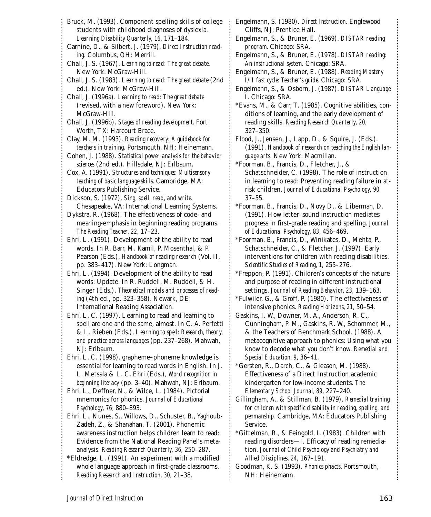Bruck, M. (1993). Component spelling skills of college students with childhood diagnoses of dyslexia. *Learning Disability Quarterly, 16,* 171–184.

Carnine, D., & Silbert, J. (1979). *Direct Instruction reading*. Columbus, OH: Merrill.

- Chall, J. S. (1967). *Learning to read: The great debate*. New York: McGraw-Hill.
- Chall, J. S. (1983). *Learning to read: The great debate* (2nd ed.). New York: McGraw-Hill.
- Chall, J. (1996a). *Learning to read: The great debate* (revised, with a new foreword). New York: McGraw-Hill.
- Chall, J. (1996b). *Stages of reading development.* Fort Worth, TX: Harcourt Brace.
- Clay, M. M. (1993). *Reading recovery: A guidebook for teachers in training*. Portsmouth, NH: Heinemann.
- Cohen, J. (1988). *Statistical power analysis for the behavior sciences* (2nd ed.). Hillsdale, NJ: Erlbaum.
- Cox, A. (1991). *Structures and techniques: Multisensory teaching of basic language skills.* Cambridge, MA: Educators Publishing Service.
- Dickson, S. (1972). *Sing, spell, read, and write.* Chesapeake, VA: International Learning Systems.
- Dykstra, R. (1968). The effectiveness of code- and meaning-emphasis in beginning reading programs. *The Reading Teacher, 22,* 17–23.
- Ehri, L. (1991). Development of the ability to read words. In R. Barr, M. Kamil, P. Mosenthal, & P. Pearson (Eds.), *Handbook of reading research* (Vol. II, pp. 383–417). New York: Longman.
- Ehri, L. (1994). Development of the ability to read words: Update. In R. Ruddell, M. Ruddell, & H. Singer (Eds.), *Theoretical models and processes of reading* (4th ed., pp. 323–358). Newark, DE: International Reading Association.
- Ehri, L. C. (1997). Learning to read and learning to spell are one and the same, almost. In C. A. Perfetti & L. Rieben (Eds.), *Learning to spell: Research, theory, and practice across languages* (pp. 237–268). Mahwah, NJ: Erlbaum.
- Ehri, L. C. (1998). grapheme–phoneme knowledge is essential for learning to read words in English. In J. L. Metsala & L. C. Ehri (Eds.), *Word recognition in beginning literacy* (pp. 3–40). Mahwah, NJ: Erlbaum.
- Ehri, L., Deffner, N., & Wilce, L. (1984). Pictorial mnemonics for phonics. *Journal of Educational Psychology, 76,* 880–893.
- Ehri, L., Nunes, S., Willows, D., Schuster, B., Yaghoub-Zadeh, Z., & Shanahan, T. (2001). Phonemic awareness instruction helps children learn to read: Evidence from the National Reading Panel's metaanalysis. *Reading Research Quarterly, 36,* 250–287.
- \*Eldredge, L. (1991). An experiment with a modified whole language approach in first-grade classrooms. *Reading Research and Instruction, 30,* 21–38.
- Engelmann, S. (1980). *Direct Instruction*. Englewood Cliffs, NJ: Prentice Hall.
- Engelmann, S., & Bruner, E. (1969). *DISTAR reading program.* Chicago: SRA.
- Engelmann, S., & Bruner, E. (1978). *DISTAR reading: An instructional system*. Chicago: SRA.
- Engelmann, S., & Bruner, E. (1988). R*eading Mastery I/II fast cycle: Teacher's guide.* Chicago: SRA.
- Engelmann, S., & Osborn, J. (1987). *DISTAR Language I*. Chicago: SRA.
- \*Evans, M., & Carr, T. (1985). Cognitive abilities, conditions of learning, and the early development of reading skills. *Reading Research Quarterly, 20,* 327–350.
- Flood, J., Jensen, J., Lapp, D., & Squire, J. (Eds.). (1991). *Handbook of research on teaching the English language arts*. New York: Macmillan.
- \*Foorman, B., Francis, D., Fletcher, J., & Schatschneider, C. (1998). The role of instruction in learning to read: Preventing reading failure in atrisk children. *Journal of Educational Psychology, 90,* 37–55.
- \*Foorman, B., Francis, D., Novy D., & Liberman, D. (1991). How letter–sound instruction mediates progress in first-grade reading and spelling. *Journal of Educational Psychology, 83,* 456–469.
- \*Foorman, B., Francis, D., Winikates, D., Mehta, P., Schatschneider, C., & Fletcher, J. (1997). Early interventions for children with reading disabilities. *Scientific Studies of Reading, 1,* 255–276.
- \*Freppon, P. (1991). Children's concepts of the nature and purpose of reading in different instructional settings. *Journal of Reading Behavior, 23,* 139–163.
- \*Fulwiler, G., & Groff, P. (1980). The effectiveness of intensive phonics. *Reading Horizons, 21,* 50–54.
- Gaskins, I. W., Downer, M. A., Anderson, R. C., Cunningham, P. M., Gaskins, R. W., Schommer, M., & the Teachers of Benchmark School. (1988). A metacognitive approach to phonics: Using what you know to decode what you don't know. *Remedial and Special Education, 9,* 36–41.
- \*Gersten, R., Darch, C., & Gleason, M. (1988). Effectiveness of a Direct Instruction academic kindergarten for low-income students. *The Elementary School Journal, 89,* 227–240.
- Gillingham, A., & Stillman, B. (1979). *Remedial training for children with specific disability in reading, spelling, and penmanship.* Cambridge, MA: Educators Publishing Service.
- \*Gittelman, R., & Feingold, I. (1983). Children with reading disorders—I. Efficacy of reading remediation. *Journal of Child Psychology and Psychiatry and Allied Disciplines, 24,* 167–191.
- Goodman, K. S. (1993). *Phonics phacts*. Portsmouth, NH: Heinemann.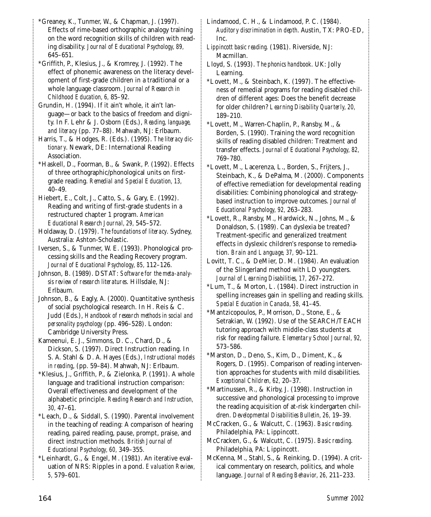\*Greaney, K., Tunmer, W., & Chapman, J. (1997). Effects of rime-based orthographic analogy training on the word recognition skills of children with reading disability. *Journal of Educational Psychology, 89,* 645–651.

\*Griffith, P., Klesius, J., & Kromrey, J. (1992). The effect of phonemic awareness on the literacy development of first-grade children in a traditional or a whole language classroom. *Journal of Research in Childhood Education, 6,* 85–92.

Grundin, H. (1994). If it ain't whole, it ain't language—or back to the basics of freedom and dignity. In F. Lehr & J. Osborn (Eds.), *Reading, language, and literacy* (pp. 77–88). Mahwah, NJ: Erlbaum.

Harris, T., & Hodges, R. (Eds.). (1995). *The literacy dictionary*. Newark, DE: International Reading Association.

\*Haskell, D., Foorman, B., & Swank, P. (1992). Effects of three orthographic/phonological units on firstgrade reading. *Remedial and Special Education, 13,* 40–49.

Hiebert, E., Colt, J., Catto, S., & Gary, E. (1992). Reading and writing of first-grade students in a restructured chapter 1 program. *American Educational Research Journal, 29,* 545–572.

Holdaway, D. (1979). *The foundations of literacy*. Sydney, Australia: Ashton-Scholastic.

Iversen, S., & Tunmer, W. E. (1993). Phonological processing skills and the Reading Recovery program. *Journal of Educational Psychology, 85,* 112–126.

Johnson, B. (1989). DSTAT: *Software for the meta-analysis review of research literatures*. Hillsdale, NJ: Erlbaum.

Johnson, B., & Eagly, A. (2000). Quantitative synthesis of social psychological research. In H. Reis & C. Judd (Eds.), *Handbook of research methods in social and personality psychology* (pp. 496–528). London: Cambridge University Press.

Kameenui, E. J., Simmons, D. C., Chard, D., & Dickson, S. (1997). Direct Instruction reading. In S. A. Stahl & D. A. Hayes (Eds.), *Instructional models in reading*, (pp. 59–84). Mahwah, NJ: Erlbaum.

\*Klesius, J., Griffith, P., & Zielonka, P. (1991). A whole language and traditional instruction comparison: Overall effectiveness and development of the alphabetic principle. *Reading Research and Instruction, 30,* 47–61.

\*Leach, D., & Siddall, S. (1990). Parental involvement in the teaching of reading: A comparison of hearing reading, paired reading, pause, prompt, praise, and direct instruction methods. *British Journal of Educational Psychology, 60,* 349–355.

\*Leinhardt, G., & Engel, M. (1981). An iterative evaluation of NRS: Ripples in a pond. *Evaluation Review, 5,* 579–601.

Lindamood, C. H., & Lindamood, P. C. (1984). *Auditory discrimination in depth*. Austin, TX: PRO-ED, Inc.

*Lippincott basic reading.* (1981). Riverside, NJ: Macmillan.

Lloyd, S. (1993). *The phonics handbook*. UK: Jolly Learning.

\*Lovett, M., & Steinbach, K. (1997). The effectiveness of remedial programs for reading disabled children of different ages: Does the benefit decrease for older children? *Learning Disability Quarterly, 20,* 189–210.

\*Lovett, M., Warren-Chaplin, P., Ransby, M., & Borden, S. (1990). Training the word recognition skills of reading disabled children: Treatment and transfer effects. *Journal of Educational Psychology, 82,* 769–780.

\*Lovett, M., Lacerenza, L., Borden, S., Frijters, J., Steinbach, K., & DePalma, M. (2000). Components of effective remediation for developmental reading disabilities: Combining phonological and strategybased instruction to improve outcomes. *Journal of Educational Psychology, 92,* 263–283.

\*Lovett, R., Ransby, M., Hardwick, N., Johns, M., & Donaldson, S. (1989). Can dyslexia be treated? Treatment-specific and generalized treatment effects in dyslexic children's response to remediation. *Brain and Language, 37,* 90–121.

Lovitt, T. C., & DeMier, D. M. (1984). An evaluation of the Slingerland method with LD youngsters. *Journal of Learning Disabilities, 17,* 267–272.

\*Lum, T., & Morton, L. (1984). Direct instruction in spelling increases gain in spelling and reading skills. *Special Education in Canada, 58,* 41–45.

\*Mantzicopoulos, P., Morrison, D., Stone, E., & Setrakian, W. (1992). Use of the SEARCH/TEACH tutoring approach with middle-class students at risk for reading failure. *Elementary School Journal, 92,* 573–586.

\*Marston, D., Deno, S., Kim, D., Diment, K., & Rogers, D. (1995). Comparison of reading intervention approaches for students with mild disabilities. *Exceptional Children, 62,* 20–37.

\*Martinussen, R., & Kirby, J. (1998). Instruction in successive and phonological processing to improve the reading acquisition of at-risk kindergarten children. *Developmental Disabilities Bulletin, 26,* 19–39.

McCracken, G., & Walcutt, C. (1963). *Basic reading*. Philadelphia, PA: Lippincott.

McCracken, G., & Walcutt, C. (1975). *Basic reading*. Philadelphia, PA: Lippincott.

McKenna, M., Stahl, S., & Reinking, D. (1994). A critical commentary on research, politics, and whole language. *Journal of Reading Behavior, 26,* 211–233.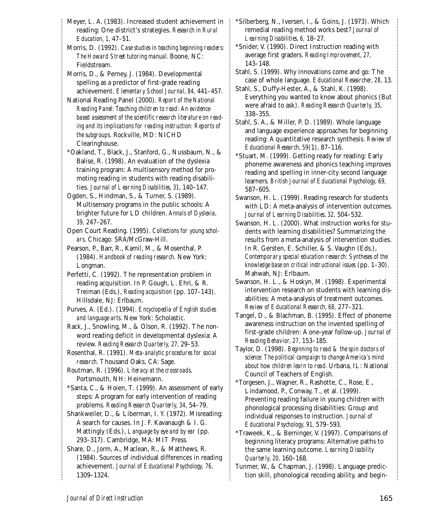Meyer, L. A. (1983). Increased student achievement in reading: One district's strategies. *Research in Rural Education, 1,* 47–51.

Morris, D. (1992). *Case studies in teaching beginning readers: The Howard Street tutoring manual.* Boone, NC: Fieldstream.

Morris, D., & Perney, J. (1984). Developmental spelling as a predictor of first-grade reading achievement. *Elementary School Journal, 84,* 441–457.

National Reading Panel (2000). *Report of the National Reading Panel: Teaching children to read: An evidencebased assessment of the scientific research literature on reading and its implications for reading instruction: Reports of the subgroups*. Rockville, MD: NICHD Clearinghouse.

\*Oakland, T., Black, J., Stanford, G., Nussbaum, N., & Balise, R. (1998). An evaluation of the dyslexia training program: A multisensory method for promoting reading in students with reading disabilities. *Journal of Learning Disabilities, 31,* 140–147.

Ogden, S., Hindman, S., & Turner, S. (1989). Multisensory programs in the public schools: A brighter future for LD children. *Annals of Dyslexia, 39,* 247–267.

Open Court Reading. (1995). *Collections for young scholars*. Chicago: SRA/McGraw-Hill.

Pearson, P., Barr, R., Kamil, M., & Mosenthal, P. (1984). *Handbook of reading research*. New York: Longman.

Perfetti, C. (1992). The representation problem in reading acquisition. In P. Gough, L. Ehri, & R. Treiman (Eds.), *Reading acquisition* (pp. 107–143). Hillsdale, NJ: Erlbaum.

Purves, A. (Ed.). (1994). *Encyclopedia of English studies and language arts*. New York: Scholastic.

Rack, J., Snowling, M., & Olson, R. (1992). The nonword reading deficit in developmental dyslexia: A review. *Reading Research Quarterly, 27,* 29–53.

Rosenthal, R. (1991). *Meta-analytic procedures for social research.* Thousand Oaks, CA: Sage.

Routman, R. (1996). *Literacy at the crossroads*. Portsmouth, NH: Heinemann.

\*Santa, C., & Hoien, T. (1999). An assessment of early steps: A program for early intervention of reading problems. *Reading Research Quarterly, 34,* 54–79.

Shankweiler, D., & Liberman, I. Y. (1972). Misreading: A search for causes. In J. F. Kavanaugh & I. G. Mattingly (Eds.), *Language by eye and by ear* (pp. 293–317). Cambridge, MA: MIT Press.

Share, D., Jorm, A., Maclean, R., & Matthews, R. (1984). Sources of individual differences in reading achievement. *Journal of Educational Psychology, 76,* 1309–1324.

\*Silberberg, N., Iversen, I., & Goins, J. (1973). Which remedial reading method works best? *Journal of Learning Disabilities, 6,* 18–27.

\*Snider, V. (1990). Direct Instruction reading with average first graders. *Reading Improvement, 27,* 143–148.

Stahl, S. (1999). Why innovations come and go: The case of whole language. *Educational Researcher, 28,* 13.

Stahl, S., Duffy-Hester, A., & Stahl, K. (1998). Everything you wanted to know about phonics (But were afraid to ask). *Reading Research Quarterly, 35,* 338–355.

Stahl, S. A., & Miller, P. D. (1989). Whole language and language experience approaches for beginning reading: A quantitative research synthesis. *Review of Educational Research, 59*(1), 87–116.

\*Stuart, M. (1999). Getting ready for reading: Early phoneme awareness and phonics teaching improves reading and spelling in inner-city second language learners*. British Journal of Educational Psychology, 69,* 587–605.

Swanson, H. L. (1999). Reading research for students with LD: A meta-analysis of intervention outcomes. *Journal of Learning Disabilities, 32,* 504–532.

Swanson, H. L. (2000). What instruction works for students with learning disabilities? Summarizing the results from a meta-analysis of intervention studies. In R. Gersten, E. Schiller, & S. Vaughn (Eds.), *Contemporary special education research: Syntheses of the knowledge base on critical instructional issues* (pp. 1–30). Mahwah, NJ: Erlbaum.

Swanson, H. L., & Hoskyn, M. (1998). Experimental intervention research on students with learning disabilities: A meta-analysis of treatment outcomes. *Review of Educational Research, 68,* 277–321.

Tangel, D., & Blachman, B. (1995). Effect of phoneme awareness instruction on the invented spelling of first-grade children: A one-year follow-up. *Journal of Reading Behavior, 27,* 153–185.

Taylor, D. (1998). *Beginning to read & the spin doctors of science: The political campaign to change America's mind about how children learn to read.* Urbana, IL: National Council of Teachers of English.

\*Torgesen, J., Wagner, R., Rashotte, C., Rose, E., Lindamood, P., Conway, T., et al. (1999). Preventing reading failure in young children with phonological processing disabilities: Group and individual responses to instruction. *Journal of Educational Psychology, 91,* 579–593.

\*Traweek, K., & Berninger, V. (1997). Comparisons of beginning literacy programs: Alternative paths to the same learning outcome. *Learning Disability Quarterly, 20,* 160–168.

Tunmer, W., & Chapman, J. (1998). Language prediction skill, phonological recoding ability, and begin